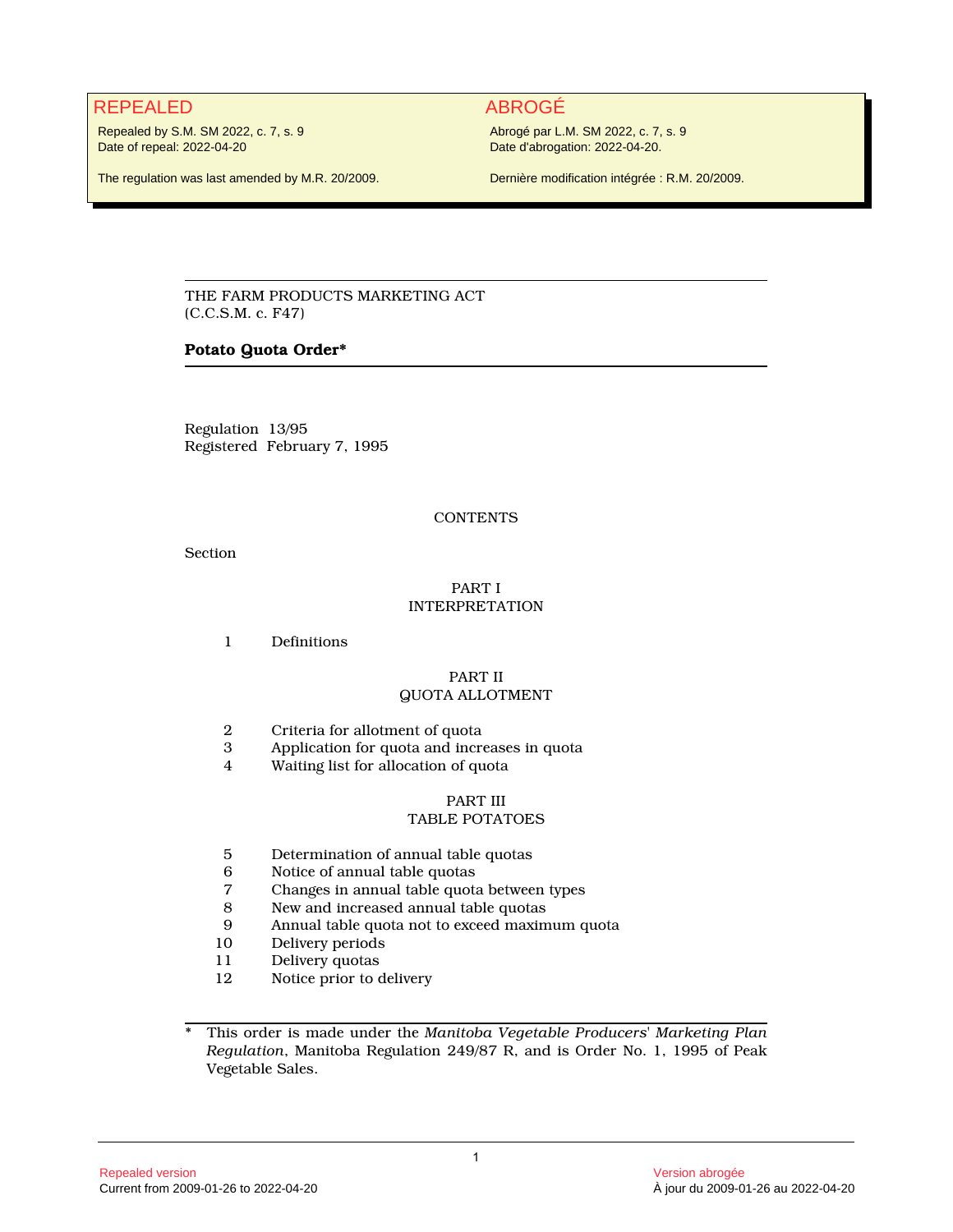# REPEALED ABROGÉ

Repealed by S.M. SM 2022, c. 7, s. 9 Date of repeal: 2022-04-20

The regulation was last amended by M.R. 20/2009.

Abrogé par L.M. SM 2022, c. 7, s. 9 Date d'abrogation: 2022-04-20.

Dernière modification intégrée : R.M. 20/2009.

THE FARM PRODUCTS MARKETING ACT (C.C.S.M. c. F47)

# **Potato Quota Order\***

Regulation 13/95 Registered February 7, 1995

# **CONTENTS**

Section

# PART I INTERPRETATION

1 Definitions

# PART II QUOTA ALLOTMENT

- 2 Criteria for allotment of quota<br>3 Application for quota and incre
- 3 Application for quota and increases in quota
- 4 Waiting list for allocation of quota

#### PART III TABLE POTATOES

- 5 Determination of annual table quotas
- 6 Notice of annual table quotas
- 7 Changes in annual table quota between types
- 8 New and increased annual table quotas<br>9 Annual table quota not to exceed maxim
- 9 Annual table quota not to exceed maximum quota
- Delivery periods
- 11 Delivery quotas<br>12 Notice prior to a
- Notice prior to delivery

\* This order is made under the *Manitoba Vegetable Producers' Marketing Plan Regulation*, Manitoba Regulation 249/87 R, and is Order No. 1, 1995 of Peak Vegetable Sales.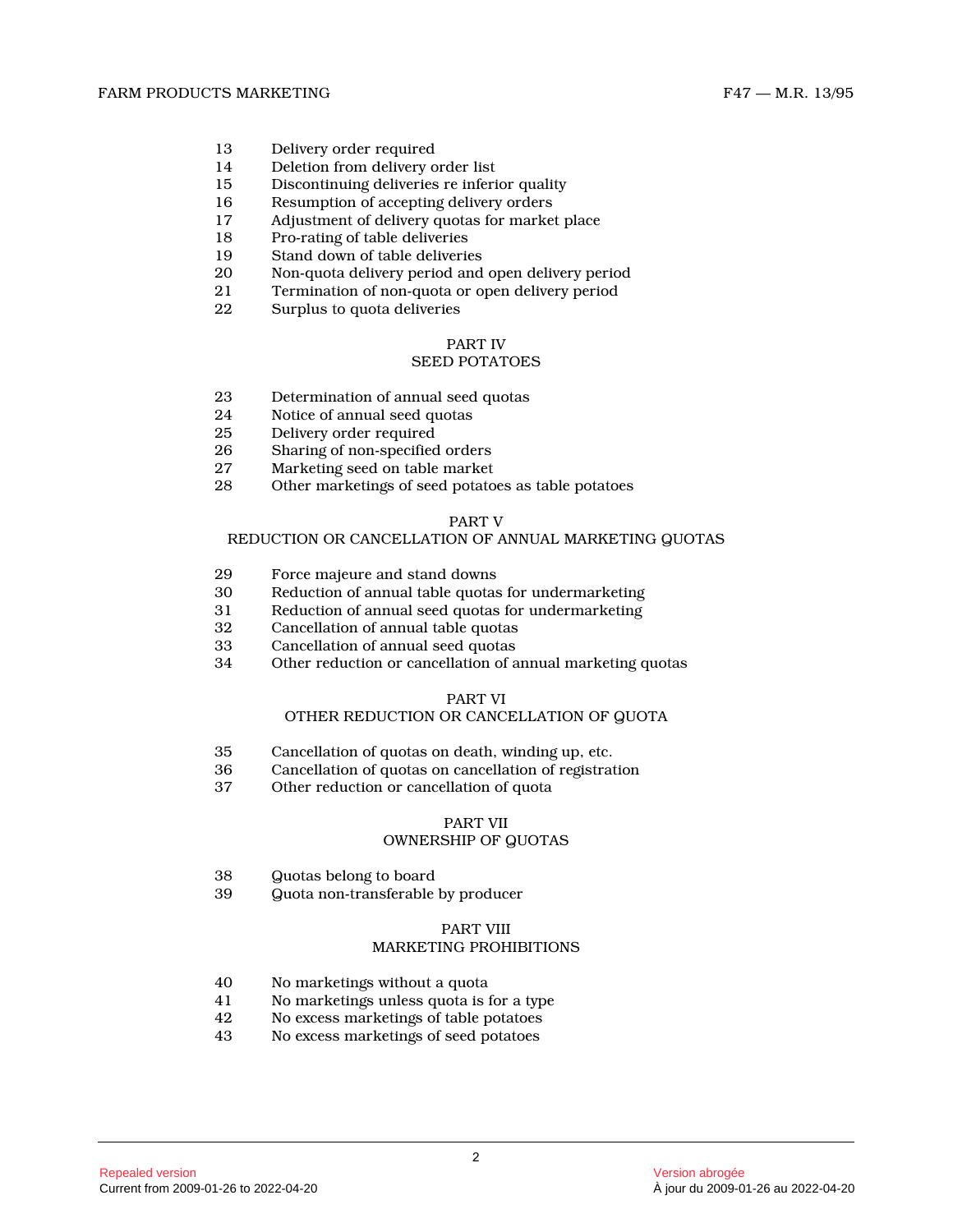- 13 Delivery order required<br>14 Deletion from delivery of
- Deletion from delivery order list
- 15 Discontinuing deliveries re inferior quality
- 16 Resumption of accepting delivery orders<br>17 Adjustment of delivery quotas for market
- Adjustment of delivery quotas for market place
- 18 Pro-rating of table deliveries<br>19 Stand down of table deliverie
- 19 Stand down of table deliveries<br>20 Non-quota delivery period and
- Non-quota delivery period and open delivery period
- 21 Termination of non-quota or open delivery period<br>22 Surplus to quota deliveries
- Surplus to quota deliveries

# PART IV

# SEED POTATOES

- 23 Determination of annual seed quotas
- 24 Notice of annual seed quotas<br>25 Delivery order required
- Delivery order required
- 26 Sharing of non-specified orders
- 27 Marketing seed on table market<br>28 Other marketings of seed potato
- Other marketings of seed potatoes as table potatoes

# PART V

#### REDUCTION OR CANCELLATION OF ANNUAL MARKETING QUOTA S

- 29 Force majeure and stand downs<br>30 Reduction of annual table quotas
- 30 Reduction of annual table quotas for undermarketing<br>31 Reduction of annual seed quotas for undermarketing
- 31 Reduction of annual seed quotas for undermarketin g
- 32 Cancellation of annual table quotas
- 33 Cancellation of annual seed quotas<br>34 Other reduction or cancellation of a
- Other reduction or cancellation of annual marketing quotas

# PART VI

# OTHER REDUCTION OR CANCELLATION OF QUOTA

- 35 Cancellation of quotas on death, winding up, etc.
- 36 Cancellation of quotas on cancellation of registration
- Other reduction or cancellation of quota

# PART VII OWNERSHIP OF QUOTAS

- 38 Quotas belong to board
- 39 Quota non-transferable by producer

#### PART VIII MARKETING PROHIBITIONS

- 40 No marketings without a quota<br>41 No marketings unless quota is t
- 41 No marketings unless quota is for a type<br>42 No excess marketings of table potatoes
- 42 No excess marketings of table potatoes<br>43 No excess marketings of seed potatoes
- 43 No excess marketings of seed potatoes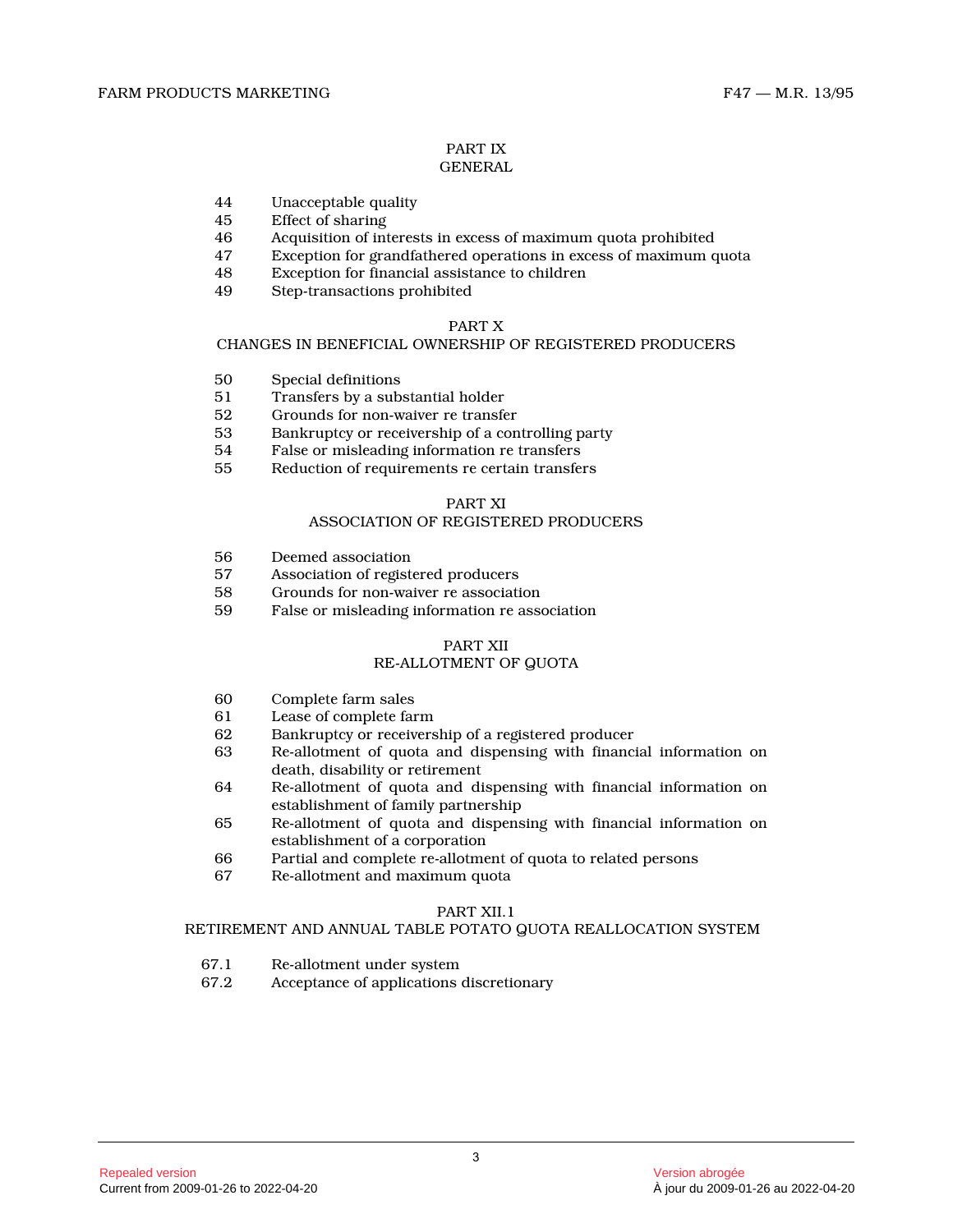#### PART IX GENERAL

- 44 Unacceptable quality<br>45 Effect of sharing 45 Effect of sharing<br>46 Acquisition of int
- 46 Acquisition of interests in excess of maximum quota prohibited
- Exception for grandfathered operations in excess of maximum quota
- 48 Exception for financial assistance to children
- 49 Step-transactions prohibited

# PART X

# CHANGES IN BENEFICIAL OWNERSHIP OF REGISTERED PRODUCERS

- 50 Special definitions
- 51 Transfers by a substantial holder
- 52 Grounds for non-waiver re transfer
- 53 Bankruptcy or receivership of a controlling party
- 54 False or misleading information re transfers
- 55 Reduction of requirements re certain transfers

# PART XI

# ASSOCIATION OF REGISTERED PRODUCERS

- 56 Deemed association<br>57 Association of regist
- 57 Association of registered producers<br>58 Grounds for non-waiver re association
- 58 Grounds for non-waiver re association<br>59 False or misleading information re association
- False or misleading information re association

# PART XII

# RE-ALLOTMENT OF QUOTA

- 60 Complete farm sales
- 61 Lease of complete farm
- 62 Bankruptcy or receivership of a registered producer<br>63 Re-allotment of quota and dispensing with financi
- Re-allotment of quota and dispensing with financial information on death, disability or retirement
- 64 Re-allotment of quota and dispensing with financial information on establishment of family partnership
- 65 Re-allotment of quota and dispensing with financial information on establishment of a corporation
- 66 Partial and complete re-allotment of quota to related persons
- 67 Re-allotment and maximum quota

# PART XII.1

# RETIREMENT AND ANNUAL TABLE POTATO QUOTA REALLOCATION SYSTEM

- 67.1 Re-allotment under system
- 67.2 Acceptance of applications discretionary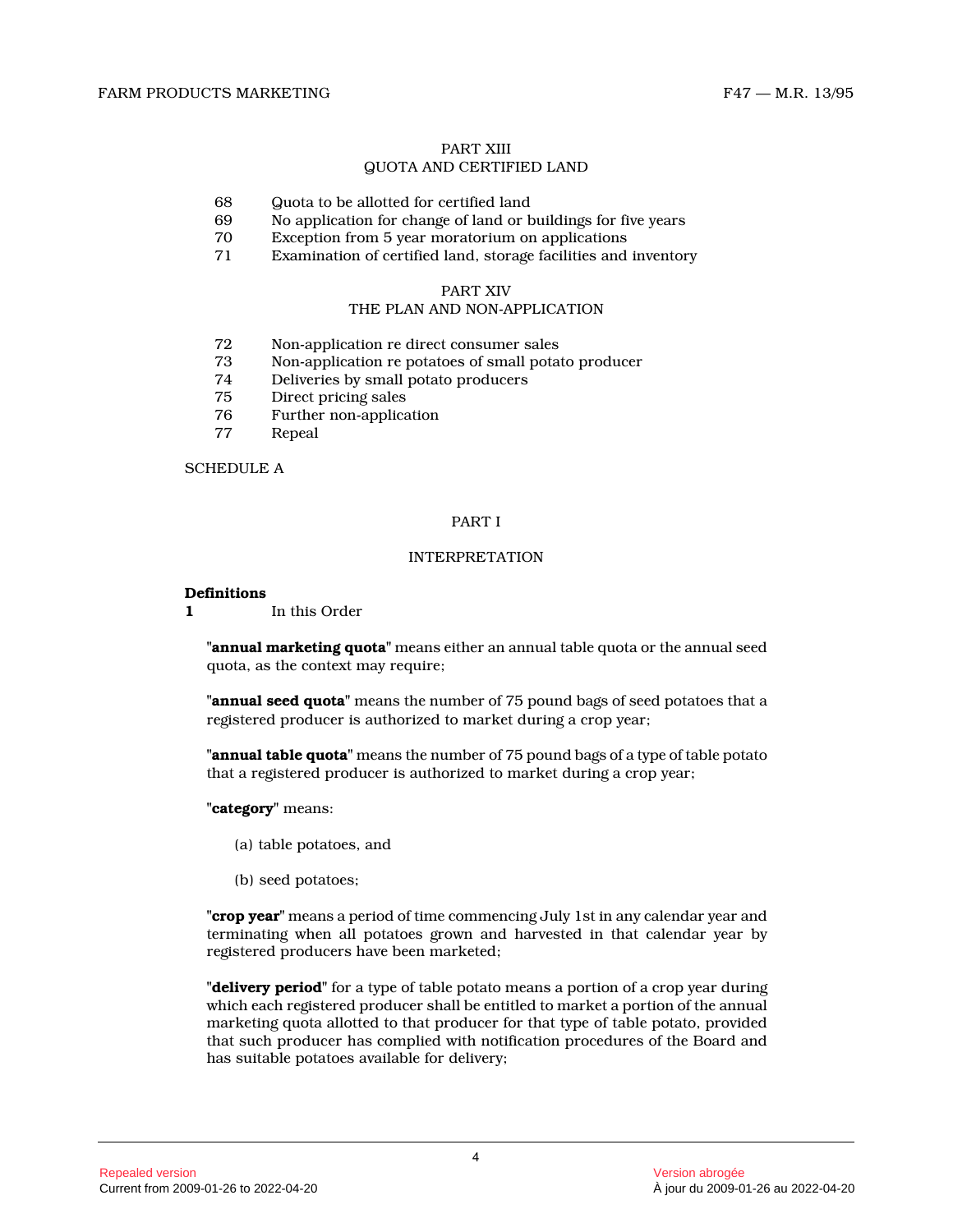# PART XIII

# QUOTA AND CERTIFIED LAND

- 68 Guota to be allotted for certified land<br>69 No application for change of land or b
- 69 No application for change of land or buildings for five years
- 70 Exception from 5 year moratorium on applications
- Examination of certified land, storage facilities and inventory

# PART XIV

# THE PLAN AND NON-APPLICATION

- 72 Non-application re direct consumer sales
- 73 Non-application re potatoes of small potato producer
- 74 Deliveries by small potato producers
- Direct pricing sales
- 76 Further non-application<br>77 Repeal
- **Repeal**

#### SCHEDULE A

# PART I

### INTERPRETATION

#### **Definitions**

**1** In this Order

**"annual marketing quota"** means either an annual table quota or the annual seed quota, as the context may require;

**"annual seed quota"** means the number of 75 pound bags of seed potatoes that a registered producer is authorized to market during a crop year;

**"annual table quota"** means the number of 75 pound bags of a type of table potato that a registered producer is authorized to market during a crop year;

**"category"** means:

- (a) table potatoes, and
- (b) seed potatoes;

**"crop year"** means a period of time commencing July 1st in any calendar year and terminating when all potatoes grown and harvested in that calendar year by registered producers have been marketed;

**"delivery period"** for a type of table potato means a portion of a crop year during which each registered producer shall be entitled to market a portion of the annual marketing quota allotted to that producer for that type of table potato, provided that such producer has complied with notification procedures of the Board and has suitable potatoes available for delivery;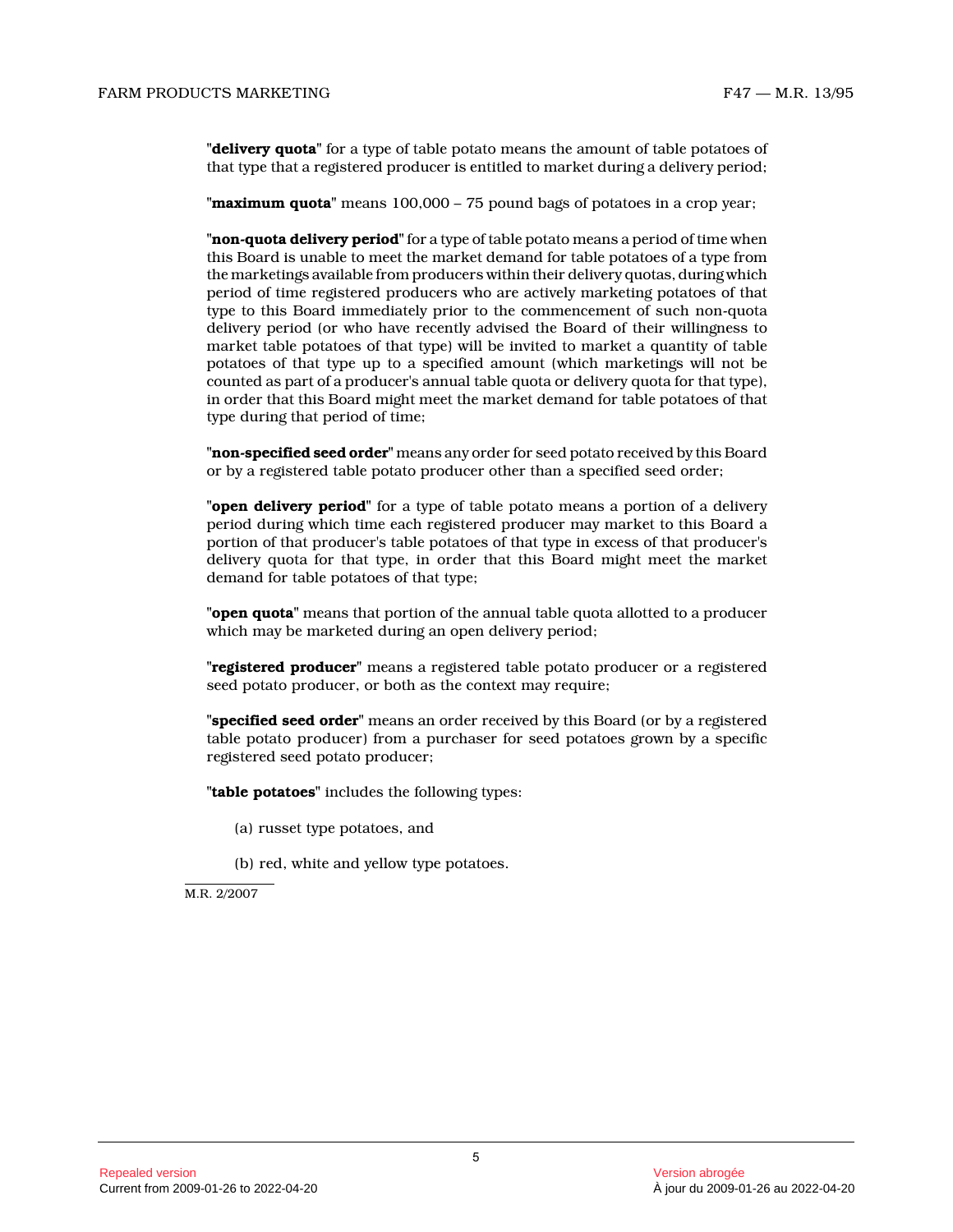**"delivery quota"** for a type of table potato means the amount of table potatoes of that type that a registered producer is entitled to market during a delivery period;

**"maximum quota"** means 100,000 – 75 pound bags of potatoes in a crop year;

**"non-quota delivery period"** for a type of table potato means a period of time when this Board is unable to meet the market demand for table potatoes of a type from the marketings available from producers within their delivery quotas, during which period of time registered producers who are actively marketing potatoes of that type to this Board immediately prior to the commencement of such non-quota delivery period (or who have recently advised the Board of their willingness to market table potatoes of that type) will be invited to market a quantity of table potatoes of that type up to a specified amount (which marketings will not be counted as part of a producer's annual table quota or delivery quota for that type), in order that this Board might meet the market demand for table potatoes of that type during that period of time;

**"non-specified seed order"** means any order for seed potato received by this Board or by a registered table potato producer other than a specified seed order;

**"open delivery period"** for a type of table potato means a portion of a delivery period during which time each registered producer may market to this Board a portion of that producer's table potatoes of that type in excess of that producer's delivery quota for that type, in order that this Board might meet the market demand for table potatoes of that type;

**"open quota"** means that portion of the annual table quota allotted to a producer which may be marketed during an open delivery period;

**"registered producer"** means a registered table potato producer or a registered seed potato producer, or both as the context may require;

**"specified seed order"** means an order received by this Board (or by a registered table potato producer) from a purchaser for seed potatoes grown by a specific registered seed potato producer;

**"table potatoes"** includes the following types:

(a) russet type potatoes, and

(b) red, white and yellow type potatoes.

M.R. 2/2007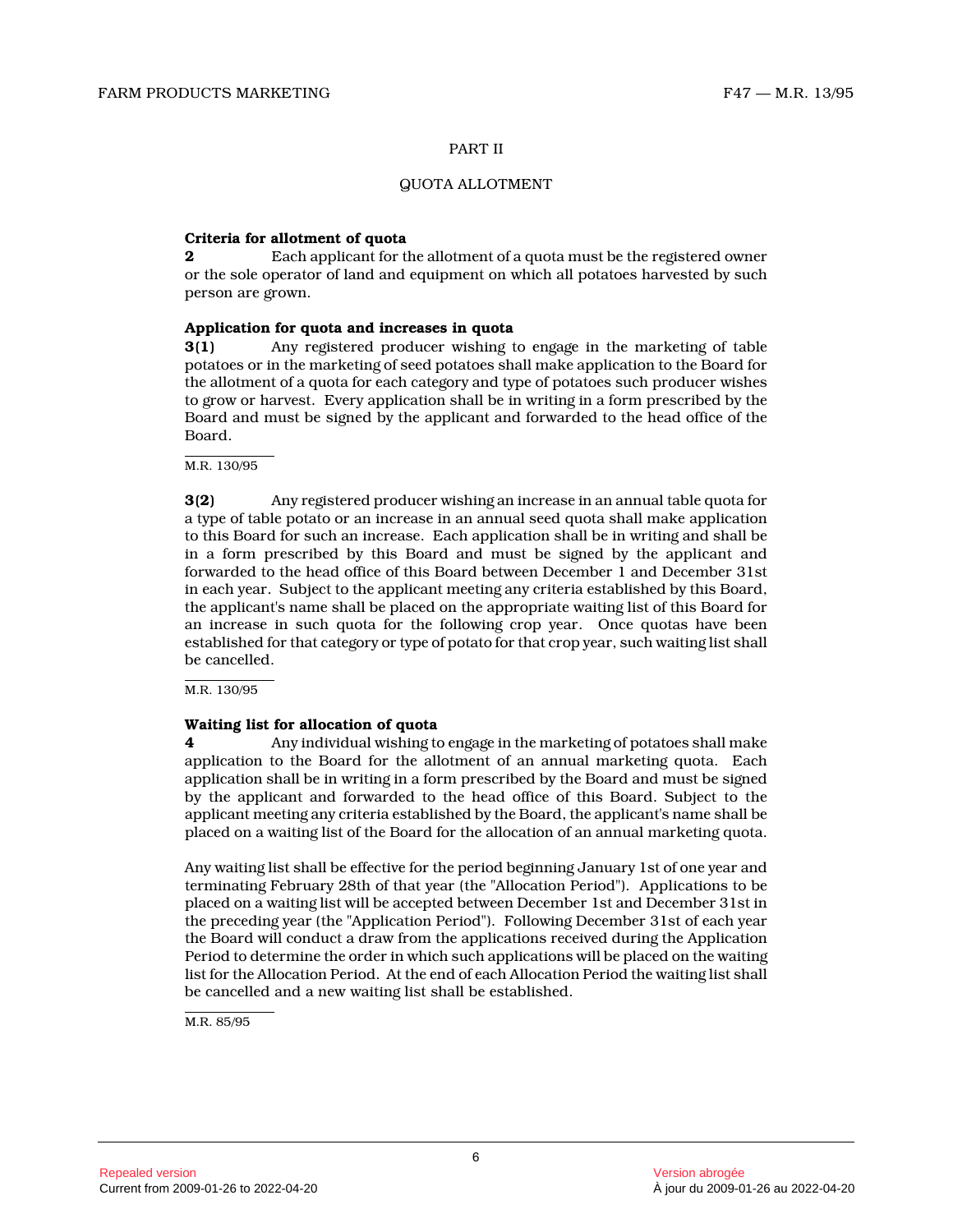#### PART II

### QUOTA ALLOTMENT

# **Criteria for allotment of quota**

**2** Each applicant for the allotment of a quota must be the registered owner or the sole operator of land and equipment on which all potatoes harvested by such person are grown.

# **Application for quota and increases in quota**

**3(1)** Any registered producer wishing to engage in the marketing of table potatoes or in the marketing of seed potatoes shall make application to the Board for the allotment of a quota for each category and type of potatoes such producer wishes to grow or harvest. Every application shall be in writing in a form prescribed by the Board and must be signed by the applicant and forwarded to the head office of the Board.

#### M.R. 130/95

**3(2)** Any registered producer wishing an increase in an annual table quota for a type of table potato or an increase in an annual seed quota shall make application to this Board for such an increase. Each application shall be in writing and shall be in a form prescribed by this Board and must be signed by the applicant and forwarded to the head office of this Board between December 1 and December 31st in each year. Subject to the applicant meeting any criteria established by this Board, the applicant's name shall be placed on the appropriate waiting list of this Board for an increase in such quota for the following crop year. Once quotas have been established for that category or type of potato for that crop year, such waiting list shall be cancelled.

M.R. 130/95

#### **Waiting list for allocation of quota**

**4** Any individual wishing to engage in the marketing of potatoes shall make application to the Board for the allotment of an annual marketing quota. Each application shall be in writing in a form prescribed by the Board and must be signed by the applicant and forwarded to the head office of this Board. Subject to the applicant meeting any criteria established by the Board, the applicant's name shall be placed on a waiting list of the Board for the allocation of an annual marketing quota.

Any waiting list shall be effective for the period beginning January 1st of one year and terminating February 28th of that year (the "Allocation Period"). Applications to be placed on a waiting list will be accepted between December 1st and December 31st in the preceding year (the "Application Period"). Following December 31st of each year the Board will conduct a draw from the applications received during the Application Period to determine the order in which such applications will be placed on the waiting list for the Allocation Period. At the end of each Allocation Period the waiting list shall be cancelled and a new waiting list shall be established.

M.R. 85/95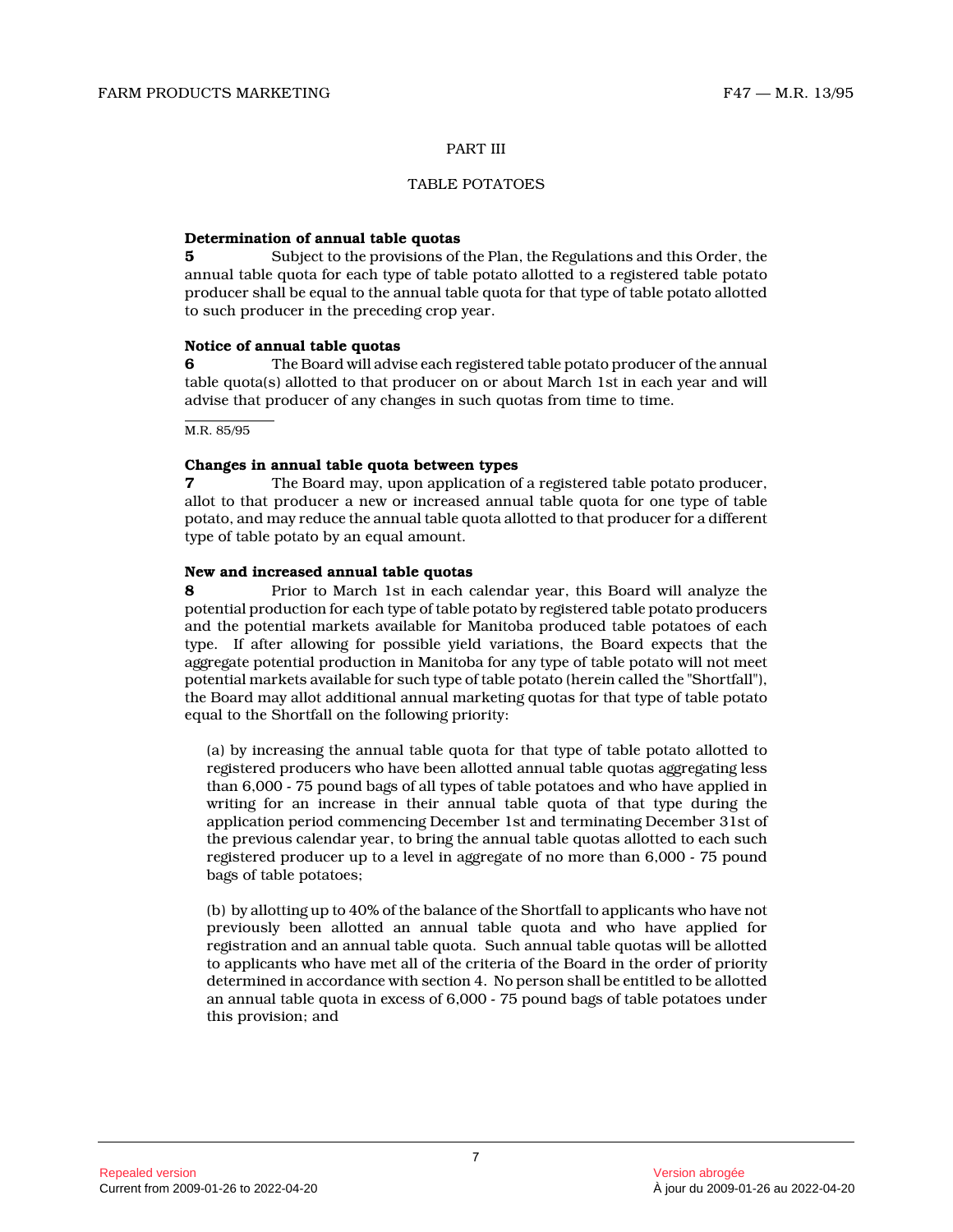#### PART III

#### TABLE POTATOES

#### **Determination of annual table quotas**

**5** Subject to the provisions of the Plan, the Regulations and this Order, the annual table quota for each type of table potato allotted to a registered table potato producer shall be equal to the annual table quota for that type of table potato allotted to such producer in the preceding crop year.

#### **Notice of annual table quotas**

**6** The Board will advise each registered table potato producer of the annual table quota(s) allotted to that producer on or about March 1st in each year and will advise that producer of any changes in such quotas from time to time.

M.R. 85/95

#### **Changes in annual table quota between types**

**7** The Board may, upon application of a registered table potato producer, allot to that producer a new or increased annual table quota for one type of table potato, and may reduce the annual table quota allotted to that producer for a different type of table potato by an equal amount.

#### **New and increased annual table quotas**

**8** Prior to March 1st in each calendar year, this Board will analyze the potential production for each type of table potato by registered table potato producers and the potential markets available for Manitoba produced table potatoes of each type. If after allowing for possible yield variations, the Board expects that the aggregate potential production in Manitoba for any type of table potato will not meet potential markets available for such type of table potato (herein called the "Shortfall"), the Board may allot additional annual marketing quotas for that type of table potato equal to the Shortfall on the following priority:

(a) by increasing the annual table quota for that type of table potato allotted to registered producers who have been allotted annual table quotas aggregating less than 6,000 - 75 pound bags of all types of table potatoes and who have applied in writing for an increase in their annual table quota of that type during the application period commencing December 1st and terminating December 31st of the previous calendar year, to bring the annual table quotas allotted to each such registered producer up to a level in aggregate of no more than 6,000 - 75 pound bags of table potatoes;

(b) by allotting up to 40% of the balance of the Shortfall to applicants who have not previously been allotted an annual table quota and who have applied for registration and an annual table quota. Such annual table quotas will be allotted to applicants who have met all of the criteria of the Board in the order of priority determined in accordance with section 4. No person shall be entitled to be allotted an annual table quota in excess of 6,000 - 75 pound bags of table potatoes under this provision; and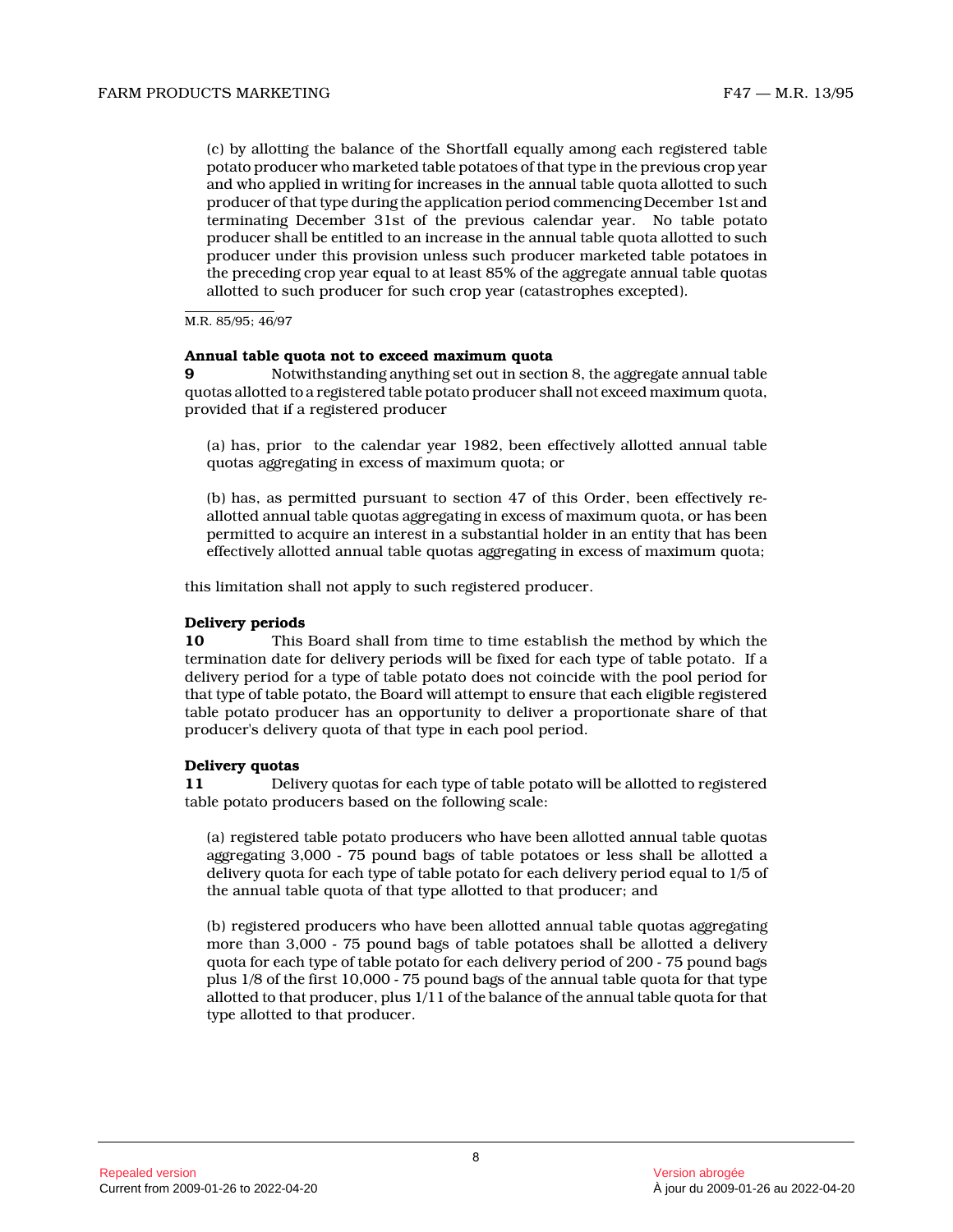(c) by allotting the balance of the Shortfall equally among each registered table potato producer who marketed table potatoes of that type in the previous crop year and who applied in writing for increases in the annual table quota allotted to such producer of that type during the application period commencing December 1st and terminating December 31st of the previous calendar year. No table potato producer shall be entitled to an increase in the annual table quota allotted to such producer under this provision unless such producer marketed table potatoes in the preceding crop year equal to at least 85% of the aggregate annual table quotas allotted to such producer for such crop year (catastrophes excepted).

M.R. 85/95; 46/97

#### **Annual table quota not to exceed maximum quota**

**9** Notwithstanding anything set out in section 8, the aggregate annual table quotas allotted to a registered table potato producer shall not exceed maximum quota, provided that if a registered producer

(a) has, prior to the calendar year 1982, been effectively allotted annual table quotas aggregating in excess of maximum quota; or

(b) has, as permitted pursuant to section 47 of this Order, been effectively reallotted annual table quotas aggregating in excess of maximum quota, or has been permitted to acquire an interest in a substantial holder in an entity that has been effectively allotted annual table quotas aggregating in excess of maximum quota;

this limitation shall not apply to such registered producer.

#### **Delivery periods**

**10** This Board shall from time to time establish the method by which the termination date for delivery periods will be fixed for each type of table potato. If a delivery period for a type of table potato does not coincide with the pool period for that type of table potato, the Board will attempt to ensure that each eligible registered table potato producer has an opportunity to deliver a proportionate share of that producer's delivery quota of that type in each pool period.

#### **Delivery quotas**

**11** Delivery quotas for each type of table potato will be allotted to registered table potato producers based on the following scale :

(a) registered table potato producers who have been allotted annual table quotas aggregating 3,000 - 75 pound bags of table potatoes or less shall be allotted a delivery quota for each type of table potato for each delivery period equal to 1/5 of the annual table quota of that type allotted to that producer; and

(b) registered producers who have been allotted annual table quotas aggregating more than 3,000 - 75 pound bags of table potatoes shall be allotted a delivery quota for each type of table potato for each delivery period of 200 - 75 pound bags plus 1/8 of the first 10,000 - 75 pound bags of the annual table quota for that type allotted to that producer, plus 1/11 of the balance of the annual table quota for that type allotted to that producer.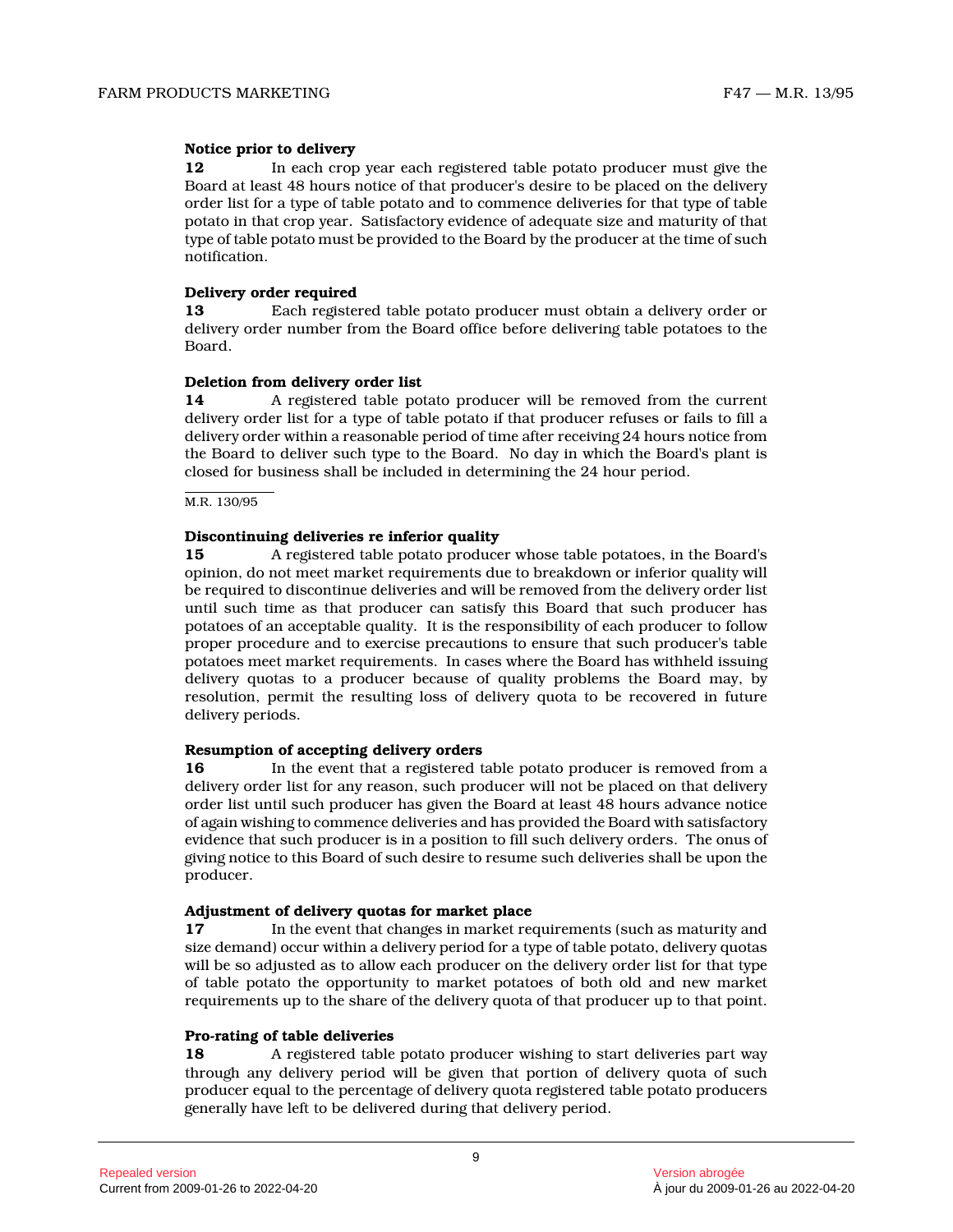# **Notice prior to delivery**

**12** In each crop year each registered table potato producer must give the Board at least 48 hours notice of that producer's desire to be placed on the delivery order list for a type of table potato and to commence deliveries for that type of table potato in that crop year. Satisfactory evidence of adequate size and maturity of that type of table potato must be provided to the Board by the producer at the time of such notification.

#### **Delivery order required**

**13** Each registered table potato producer must obtain a delivery order or delivery order number from the Board office before delivering table potatoes to the Board.

# **Deletion from delivery order list**

**14** A registered table potato producer will be removed from the current delivery order list for a type of table potato if that producer refuses or fails to fill a delivery order within a reasonable period of time after receiving 24 hours notice from the Board to deliver such type to the Board. No day in which the Board's plant is closed for business shall be included in determining the 24 hour period.

M.R. 130/95

# **Discontinuing deliveries re inferior quality**

**15** A registered table potato producer whose table potatoes, in the Board's opinion, do not meet market requirements due to breakdown or inferior quality will be required to discontinue deliveries and will be removed from the delivery order list until such time as that producer can satisfy this Board that such producer has potatoes of an acceptable quality. It is the responsibility of each producer to follow proper procedure and to exercise precautions to ensure that such producer's table potatoes meet market requirements. In cases where the Board has withheld issuing delivery quotas to a producer because of quality problems the Board may, by resolution, permit the resulting loss of delivery quota to be recovered in future delivery periods.

#### **Resumption of accepting delivery orders**

**16** In the event that a registered table potato producer is removed from a delivery order list for any reason, such producer will not be placed on that delivery order list until such producer has given the Board at least 48 hours advance notice of again wishing to commence deliveries and has provided the Board with satisfactory evidence that such producer is in a position to fill such delivery orders. The onus of giving notice to this Board of such desire to resume such deliveries shall be upon the producer.

#### **Adjustment of delivery quotas for market place**

**17** In the event that changes in market requirements (such as maturity and size demand) occur within a delivery period for a type of table potato, delivery quotas will be so adjusted as to allow each producer on the delivery order list for that type of table potato the opportunity to market potatoes of both old and new market requirements up to the share of the delivery quota of that producer up to that point.

# **Pro-rating of table deliveries**

**18** A registered table potato producer wishing to start deliveries part way through any delivery period will be given that portion of delivery quota of such producer equal to the percentage of delivery quota registered table potato producers generally have left to be delivered during that delivery period.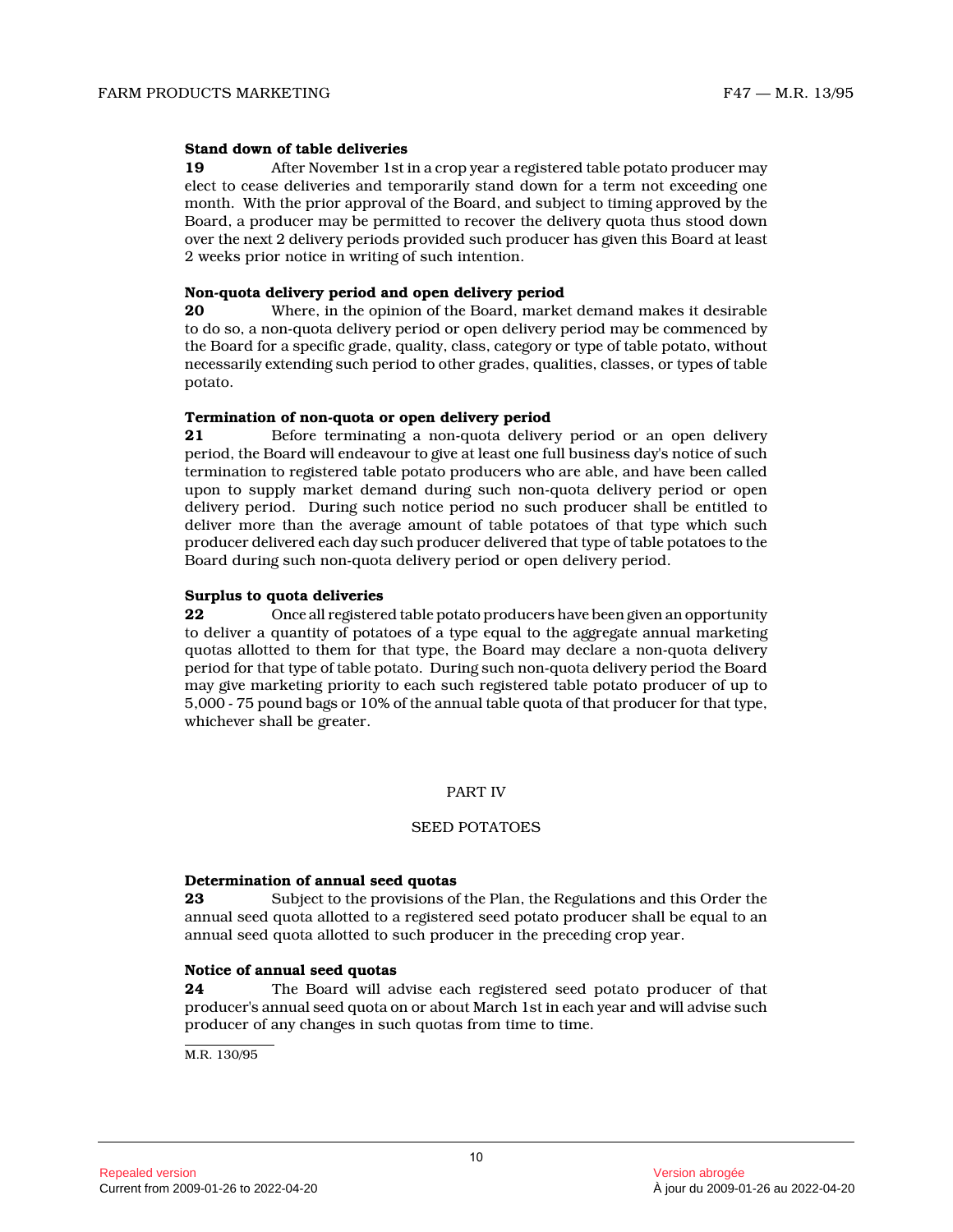# **Stand down of table deliveries**

**19** After November 1st in a crop year a registered table potato producer may elect to cease deliveries and temporarily stand down for a term not exceeding one month. With the prior approval of the Board, and subject to timing approved by the Board, a producer may be permitted to recover the delivery quota thus stood down over the next 2 delivery periods provided such producer has given this Board at least 2 weeks prior notice in writing of such intention.

#### **Non-quota delivery period and open delivery period**

**20** Where, in the opinion of the Board, market demand makes it desirable to do so, a non-quota delivery period or open delivery period may be commenced by the Board for a specific grade, quality, class, category or type of table potato, without necessarily extending such period to other grades, qualities, classes, or types of table potato.

# **Termination of non-quota or open delivery period**

**21** Before terminating a non-quota delivery period or an open delivery period, the Board will endeavour to give at least one full business day's notice of such termination to registered table potato producers who are able, and have been called upon to supply market demand during such non-quota delivery period or open delivery period. During such notice period no such producer shall be entitled to deliver more than the average amount of table potatoes of that type which such producer delivered each day such producer delivered that type of table potatoes to the Board during such non-quota delivery period or open delivery period.

# **Surplus to quota deliveries**

**22** Once all registered table potato producers have been given an opportunity to deliver a quantity of potatoes of a type equal to the aggregate annual marketing quotas allotted to them for that type, the Board may declare a non-quota delivery period for that type of table potato. During such non-quota delivery period the Board may give marketing priority to each such registered table potato producer of up to 5,000 - 75 pound bags or 10% of the annual table quota of that producer for that type, whichever shall be greater.

# PART IV

#### SEED POTATOES

#### **Determination of annual seed quotas**

**23** Subject to the provisions of the Plan, the Regulations and this Order the annual seed quota allotted to a registered seed potato producer shall be equal to an annual seed quota allotted to such producer in the preceding crop year.

#### **Notice of annual seed quotas**

**24** The Board will advise each registered seed potato producer of that producer's annual seed quota on or about March 1st in each year and will advise such producer of any changes in such quotas from time to time.

M.R. 130/95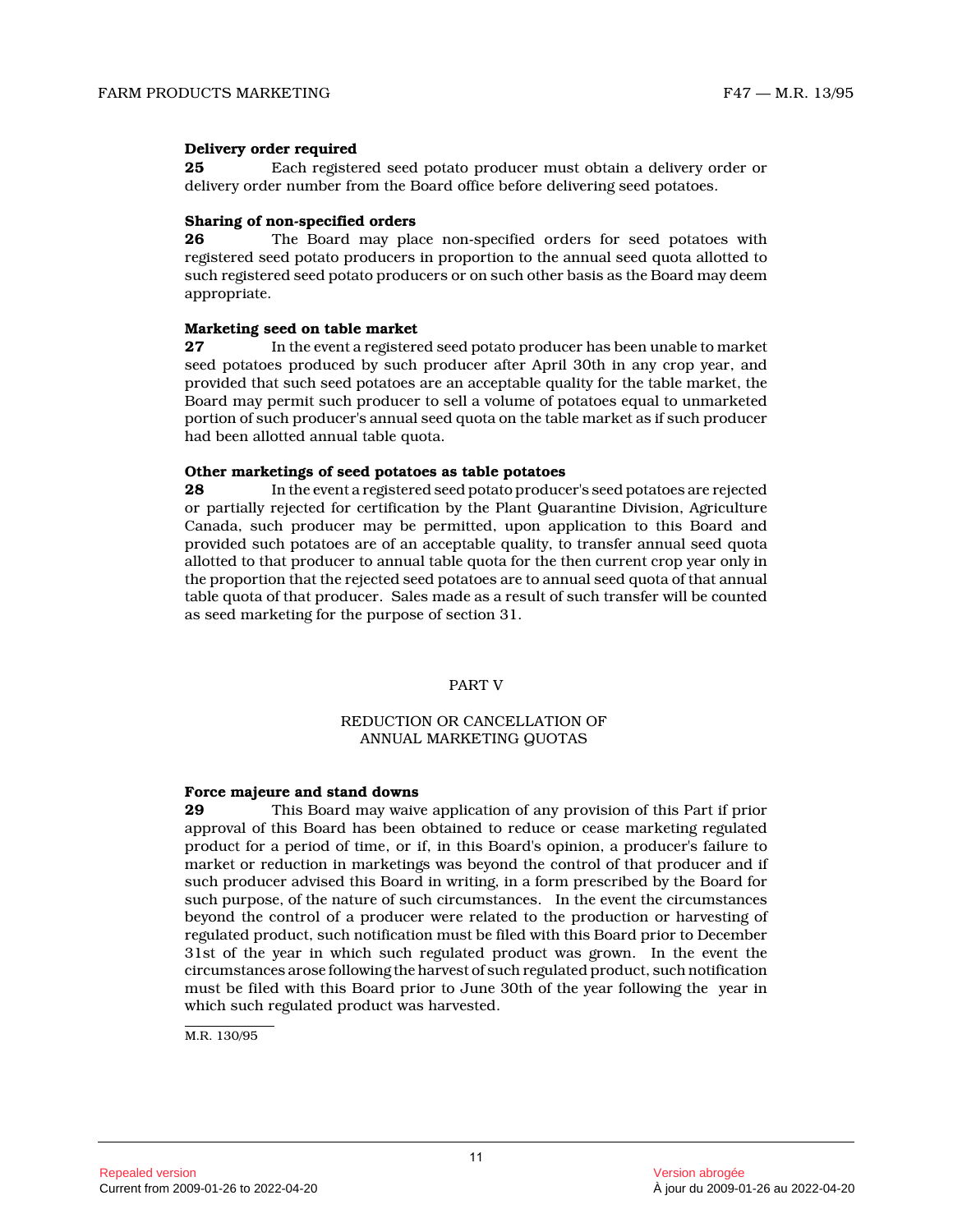# **Delivery order required**

**25** Each registered seed potato producer must obtain a delivery order or delivery order number from the Board office before delivering seed potatoes.

# **Sharing of non-specified orders**<br>**26** The Board may pla

**26** The Board may place non-specified orders for seed potatoes with registered seed potato producers in proportion to the annual seed quota allotted to such registered seed potato producers or on such other basis as the Board may deem appropriate.

#### **Marketing seed on table market**

**27** In the event a registered seed potato producer has been unable to market seed potatoes produced by such producer after April 30th in any crop year, and provided that such seed potatoes are an acceptable quality for the table market, the Board may permit such producer to sell a volume of potatoes equal to unmarketed portion of such producer's annual seed quota on the table market as if such producer had been allotted annual table quota.

#### **Other marketings of seed potatoes as table potatoes**

**28** In the event a registered seed potato producer's seed potatoes are rejected or partially rejected for certification by the Plant Quarantine Division, Agriculture Canada, such producer may be permitted, upon application to this Board and provided such potatoes are of an acceptable quality, to transfer annual seed quota allotted to that producer to annual table quota for the then current crop year only in the proportion that the rejected seed potatoes are to annual seed quota of that annual table quota of that producer. Sales made as a result of such transfer will be counted as seed marketing for the purpose of section 31.

PART V

# REDUCTION OR CANCELLATION OF ANNUAL MARKETING QUOTAS

#### **Force majeure and stand downs**

**29** This Board may waive application of any provision of this Part if prior approval of this Board has been obtained to reduce or cease marketing regulated product for a period of time, or if, in this Board's opinion, a producer's failure to market or reduction in marketings was beyond the control of that producer and if such producer advised this Board in writing, in a form prescribed by the Board for such purpose, of the nature of such circumstances. In the event the circumstances beyond the control of a producer were related to the production or harvesting of regulated product, such notification must be filed with this Board prior to December 31st of the year in which such regulated product was grown. In the event the circumstances arose following the harvest of such regulated product, such notification must be filed with this Board prior to June 30th of the year following the year in which such regulated product was harvested.

M.R. 130/95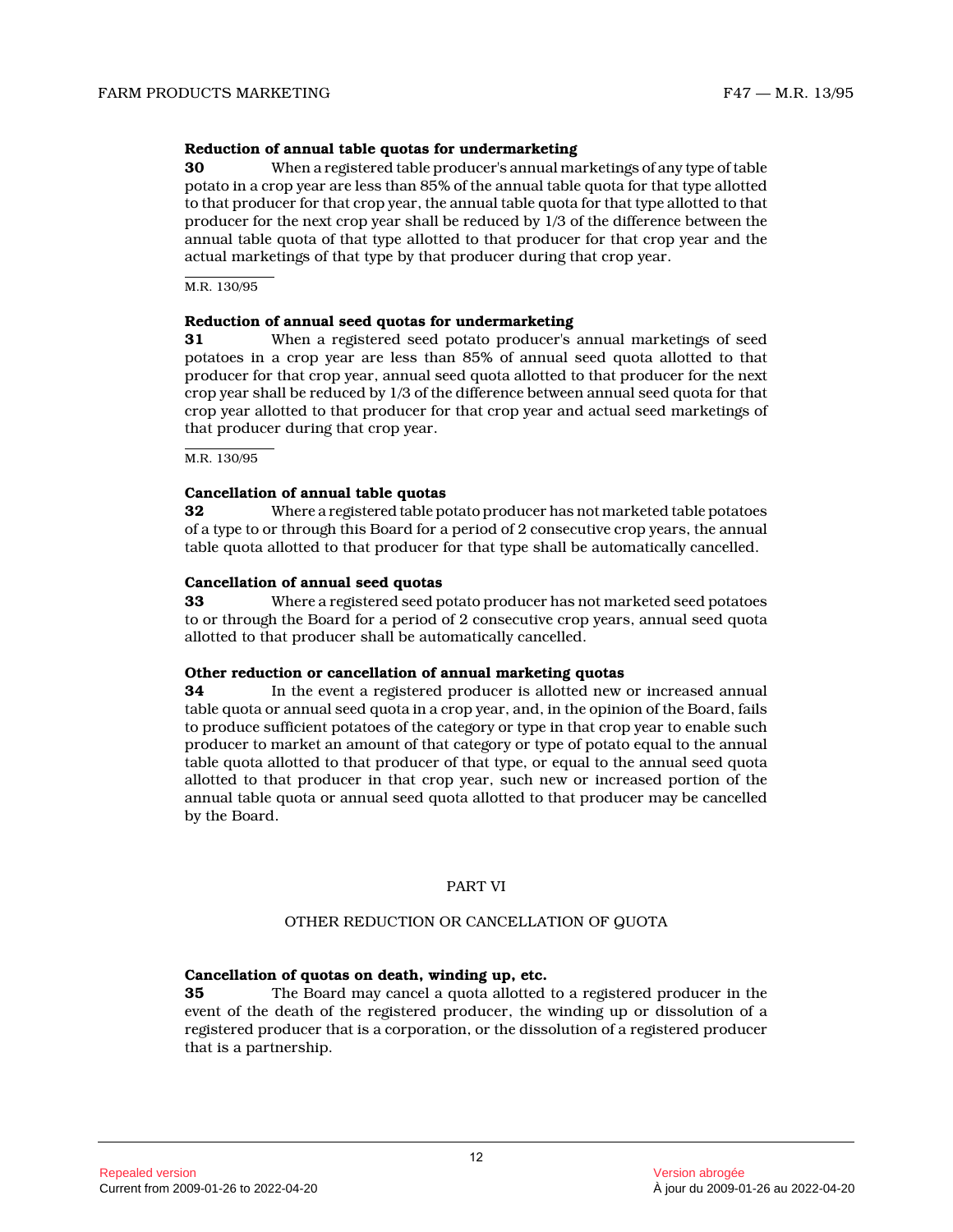### **Reduction of annual table quotas for undermarketing**

**30** When a registered table producer's annual marketings of any type of table potato in a crop year are less than 85% of the annual table quota for that type allotted to that producer for that crop year, the annual table quota for that type allotted to that producer for the next crop year shall be reduced by 1/3 of the difference between the annual table quota of that type allotted to that producer for that crop year and the actual marketings of that type by that producer during that crop year.

M.R. 130/95

#### **Reduction of annual seed quotas for undermarketing**

**31** When a registered seed potato producer's annual marketings of seed potatoes in a crop year are less than 85% of annual seed quota allotted to that producer for that crop year, annual seed quota allotted to that producer for the next crop year shall be reduced by 1/3 of the difference between annual seed quota for that crop year allotted to that producer for that crop year and actual seed marketings of that producer during that crop year.

M.R. 130/95

#### **Cancellation of annual table quotas**

**32** Where a registered table potato producer has not marketed table potatoes of a type to or through this Board for a period of 2 consecutive crop years, the annual table quota allotted to that producer for that type shall be automatically cancelled.

#### **Cancellation of annual seed quotas**

**33** Where a registered seed potato producer has not marketed seed potatoes to or through the Board for a period of 2 consecutive crop years, annual seed quota allotted to that producer shall be automatically cancelled.

#### **Other reduction or cancellation of annual marketing quotas**

**34** In the event a registered producer is allotted new or increased annual table quota or annual seed quota in a crop year, and, in the opinion of the Board, fails to produce sufficient potatoes of the category or type in that crop year to enable such producer to market an amount of that category or type of potato equal to the annual table quota allotted to that producer of that type, or equal to the annual seed quota allotted to that producer in that crop year, such new or increased portion of the annual table quota or annual seed quota allotted to that producer may be cancelled by the Board.

#### PART VI

# OTHER REDUCTION OR CANCELLATION OF QUOTA

# **Cancellation of quotas on death, winding up, etc.**

**35** The Board may cancel a quota allotted to a registered producer in the event of the death of the registered producer, the winding up or dissolution of a registered producer that is a corporation, or the dissolution of a registered producer that is a partnership.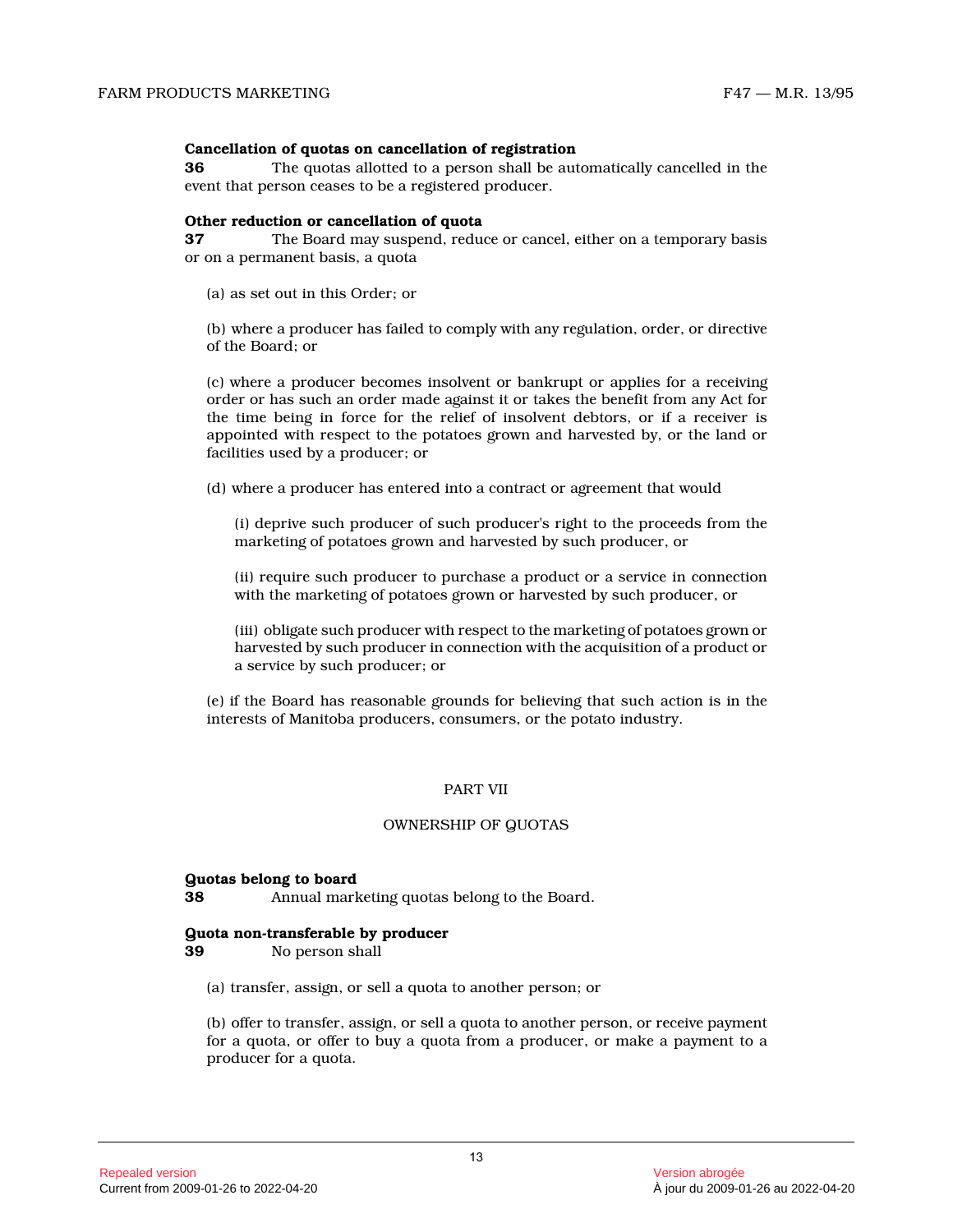#### **Cancellation of quotas on cancellation of registration**

**36** The quotas allotted to a person shall be automatically cancelled in the event that person ceases to be a registered producer .

#### **Other reduction or cancellation of quota**

**37** The Board may suspend, reduce or cancel, either on a temporary basis or on a permanent basis, a quota

(a) as set out in this Order; or

(b) where a producer has failed to comply with any regulation, order, or directive of the Board; or

(c) where a producer becomes insolvent or bankrupt or applies for a receiving order or has such an order made against it or takes the benefit from any Act for the time being in force for the relief of insolvent debtors, or if a receiver is appointed with respect to the potatoes grown and harvested by, or the land or facilities used by a producer; or

(d) where a producer has entered into a contract or agreement that would

(i) deprive such producer of such producer's right to the proceeds from the marketing of potatoes grown and harvested by such producer, or

(ii) require such producer to purchase a product or a service in connection with the marketing of potatoes grown or harvested by such producer, or

(iii) obligate such producer with respect to the marketing of potatoes grown or harvested by such producer in connection with the acquisition of a product or a service by such producer; or

(e) if the Board has reasonable grounds for believing that such action is in the interests of Manitoba producers, consumers, or the potato industry.

### PART VII

#### OWNERSHIP OF QUOTAS

#### **Quotas belong to board**

**38** Annual marketing quotas belong to the Board.

#### **Quota non-transferable by producer**

**39** No person shall

(a) transfer, assign, or sell a quota to another person; or

(b) offer to transfer, assign, or sell a quota to another person, or receive payment for a quota, or offer to buy a quota from a producer, or make a payment to a producer for a quota.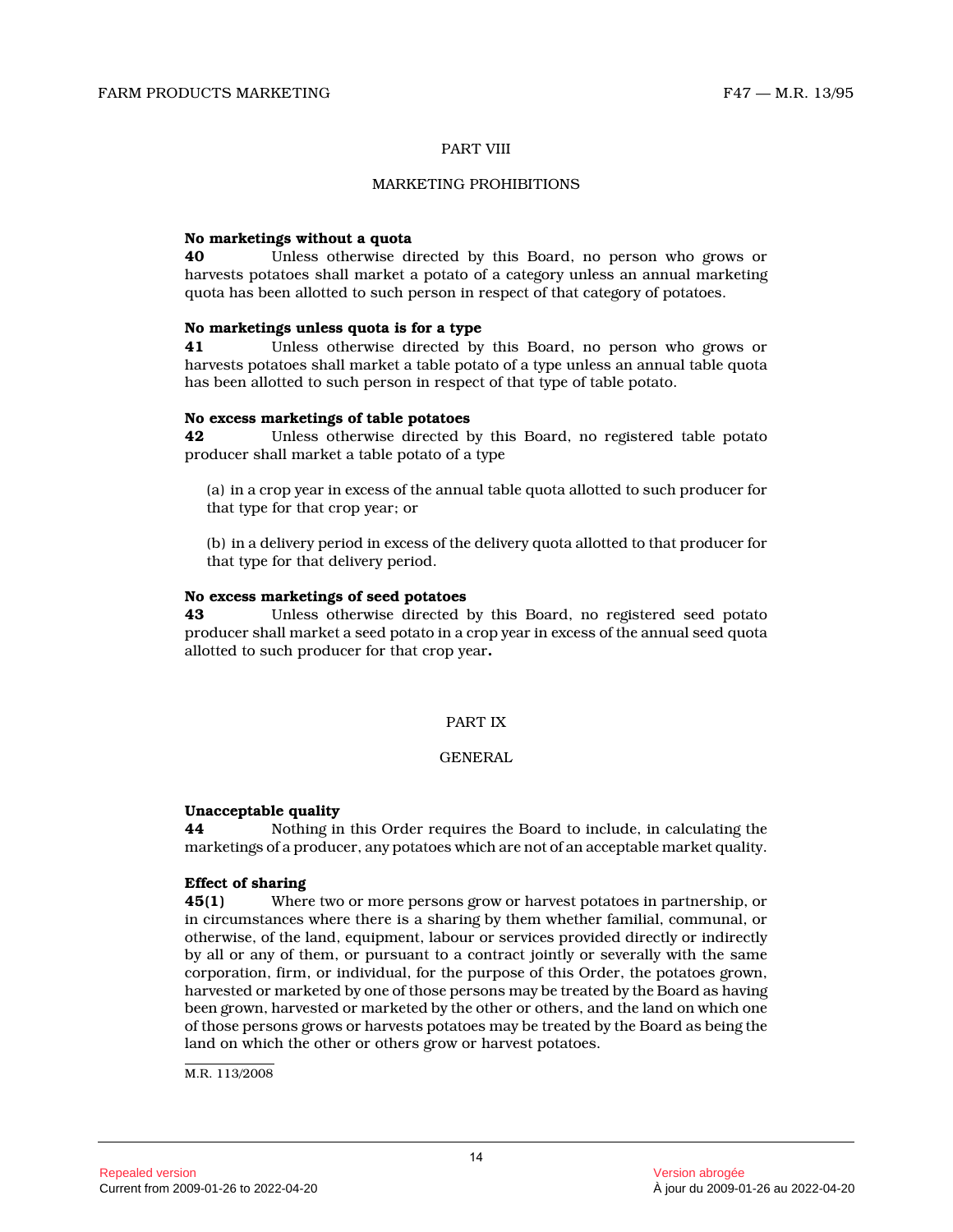### PART VIII

#### MARKETING PROHIBITIONS

# **No marketings without a quota**

**40** Unless otherwise directed by this Board, no person who grows or harvests potatoes shall market a potato of a category unless an annual marketing quota has been allotted to such person in respect of that category of potatoes.

# **No marketings unless quota is for a type**

**41** Unless otherwise directed by this Board, no person who grows or harvests potatoes shall market a table potato of a type unless an annual table quota has been allotted to such person in respect of that type of table potato.

#### **No excess marketings of table potatoes**

**42** Unless otherwise directed by this Board, no registered table potato producer shall market a table potato of a type

(a) in a crop year in excess of the annual table quota allotted to such producer for that type for that crop year; or

(b) in a delivery period in excess of the delivery quota allotted to that producer for that type for that delivery period.

#### **No excess marketings of seed potatoes**

**43** Unless otherwise directed by this Board, no registered seed potato producer shall market a seed potato in a crop year in excess of the annual seed quota allotted to such producer for that crop year **.**

# PART IX

# GENERAL

#### **Unacceptable quality**

**44** Nothing in this Order requires the Board to include, in calculating the marketings of a producer, any potatoes which are not of an acceptable market quality.

# **Effect of sharing**

**45(1)** Where two or more persons grow or harvest potatoes in partnership, or in circumstances where there is a sharing by them whether familial, communal, or otherwise, of the land, equipment, labour or services provided directly or indirectly by all or any of them, or pursuant to a contract jointly or severally with the same corporation, firm, or individual, for the purpose of this Order, the potatoes grown, harvested or marketed by one of those persons may be treated by the Board as having been grown, harvested or marketed by the other or others, and the land on which one of those persons grows or harvests potatoes may be treated by the Board as being the land on which the other or others grow or harvest potatoes.

M.R. 113/2008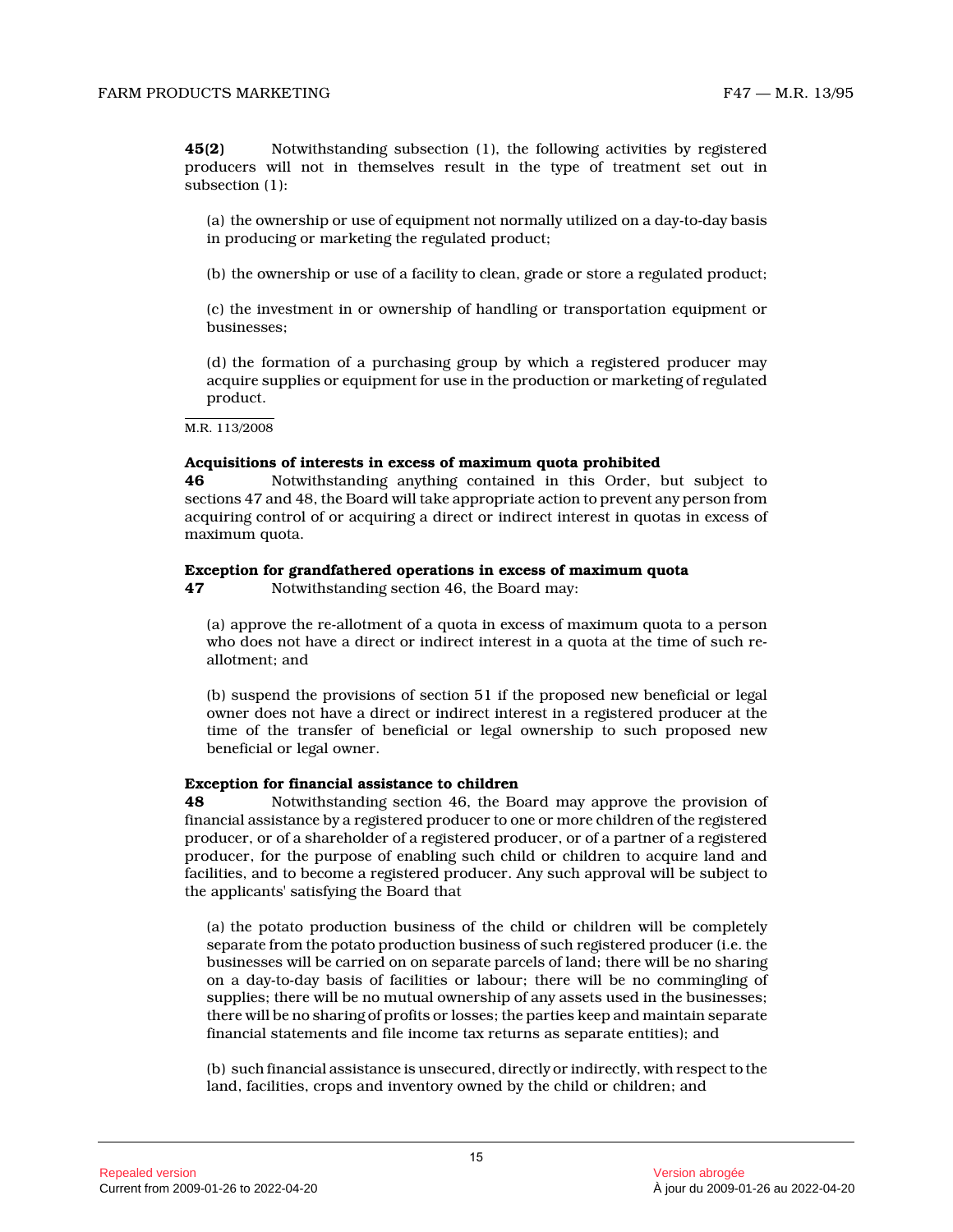**45(2)** Notwithstanding subsection (1), the following activities by registered producers will not in themselves result in the type of treatment set out in subsection (1):

(a) the ownership or use of equipment not normally utilized on a day-to-day basis in producing or marketing the regulated product;

(b) the ownership or use of a facility to clean, grade or store a regulated product;

(c) the investment in or ownership of handling or transportation equipment or businesses;

(d) the formation of a purchasing group by which a registered producer may acquire supplies or equipment for use in the production or marketing of regulated product.

M.R. 113/2008

#### **Acquisitions of interests in excess of maximum quota prohibited**

**46** Notwithstanding anything contained in this Order, but subject to sections 47 and 48, the Board will take appropriate action to prevent any person from acquiring control of or acquiring a direct or indirect interest in quotas in excess of maximum quota.

#### **Exception for grandfathered operations in excess of maximum quota**

**47** Notwithstanding section 46, the Board may:

(a) approve the re-allotment of a quota in excess of maximum quota to a person who does not have a direct or indirect interest in a quota at the time of such reallotment; and

(b) suspend the provisions of section 51 if the proposed new beneficial or legal owner does not have a direct or indirect interest in a registered producer at the time of the transfer of beneficial or legal ownership to such proposed new beneficial or legal owner.

#### **Exception for financial assistance to children**

**48** Notwithstanding section 46, the Board may approve the provision of financial assistance by a registered producer to one or more children of the registered producer, or of a shareholder of a registered producer, or of a partner of a registered producer, for the purpose of enabling such child or children to acquire land and facilities, and to become a registered producer. Any such approval will be subject to the applicants' satisfying the Board that

(a) the potato production business of the child or children will be completely separate from the potato production business of such registered producer (i.e. the businesses will be carried on on separate parcels of land; there will be no sharing on a day-to-day basis of facilities or labour; there will be no commingling of supplies; there will be no mutual ownership of any assets used in the businesses; there will be no sharing of profits or losses; the parties keep and maintain separate financial statements and file income tax returns as separate entities); and

(b) such financial assistance is unsecured, directly or indirectly, with respect to the land, facilities, crops and inventory owned by the child or children; and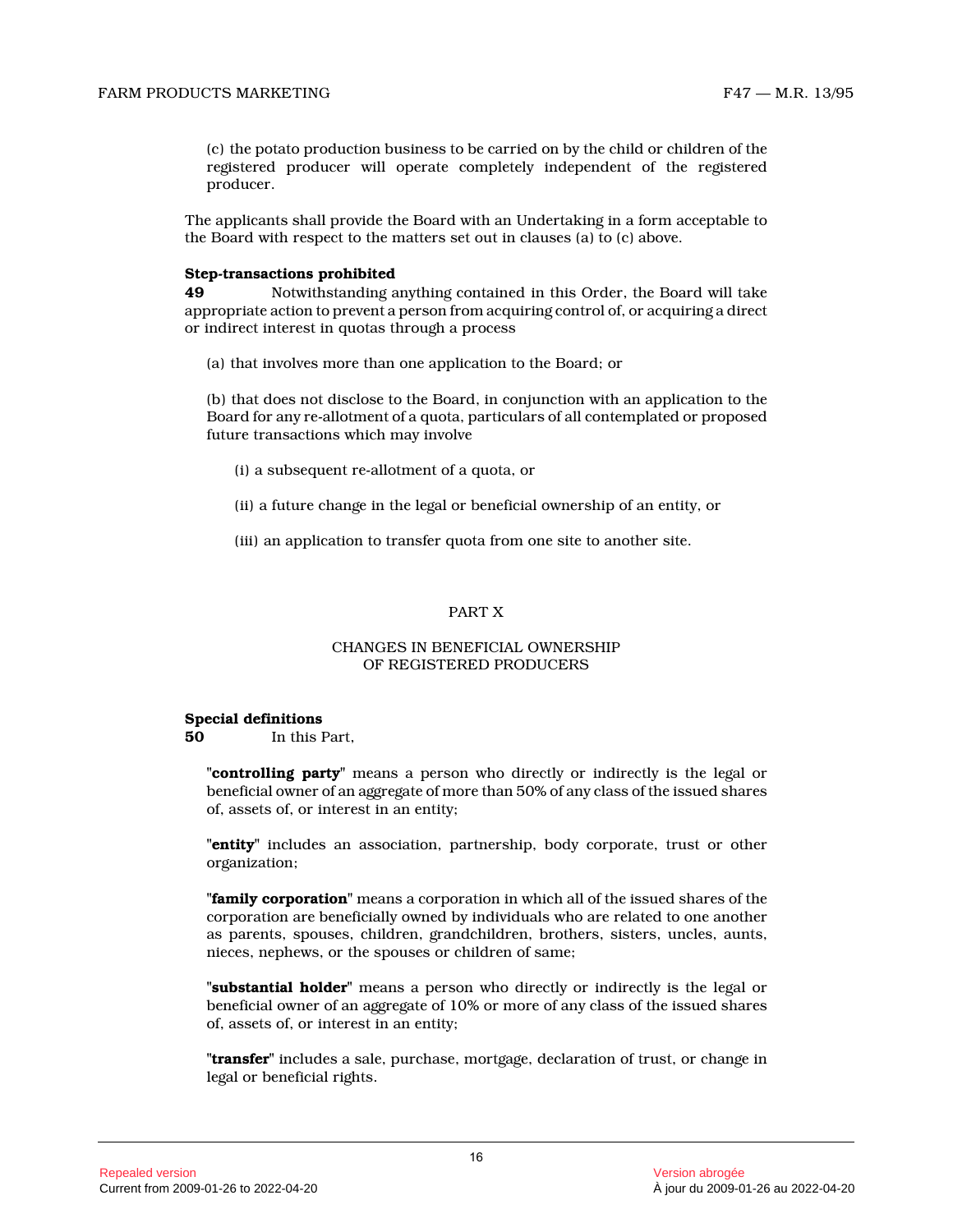(c) the potato production business to be carried on by the child or children of the registered producer will operate completely independent of the registered producer.

The applicants shall provide the Board with an Undertaking in a form acceptable to the Board with respect to the matters set out in clauses (a) to (c) above.

#### **Step-transactions prohibited**

**49** Notwithstanding anything contained in this Order, the Board will take appropriate action to prevent a person from acquiring control of, or acquiring a direct or indirect interest in quotas through a process

(a) that involves more than one application to the Board; or

(b) that does not disclose to the Board, in conjunction with an application to the Board for any re-allotment of a quota, particulars of all contemplated or proposed future transactions which may involve

- (i) a subsequent re-allotment of a quota, or
- (ii) a future change in the legal or beneficial ownership of an entity, or

(iii) an application to transfer quota from one site to another site.

# PART X

# CHANGES IN BENEFICIAL OWNERSHIP OF REGISTERED PRODUCERS

# **Special definitions**

**50** In this Part,

**"controlling party"** means a person who directly or indirectly is the legal or beneficial owner of an aggregate of more than 50% of any class of the issued shares of, assets of, or interest in an entity;

**"entity"** includes an association, partnership, body corporate, trust or other organization;

**"family corporation"** means a corporation in which all of the issued shares of the corporation are beneficially owned by individuals who are related to one another as parents, spouses, children, grandchildren, brothers, sisters, uncles, aunts, nieces, nephews, or the spouses or children of same ;

**"substantial holder"** means a person who directly or indirectly is the legal or beneficial owner of an aggregate of 10% or more of any class of the issued shares of, assets of, or interest in an entity;

**"transfer"** includes a sale, purchase, mortgage, declaration of trust, or change in legal or beneficial rights.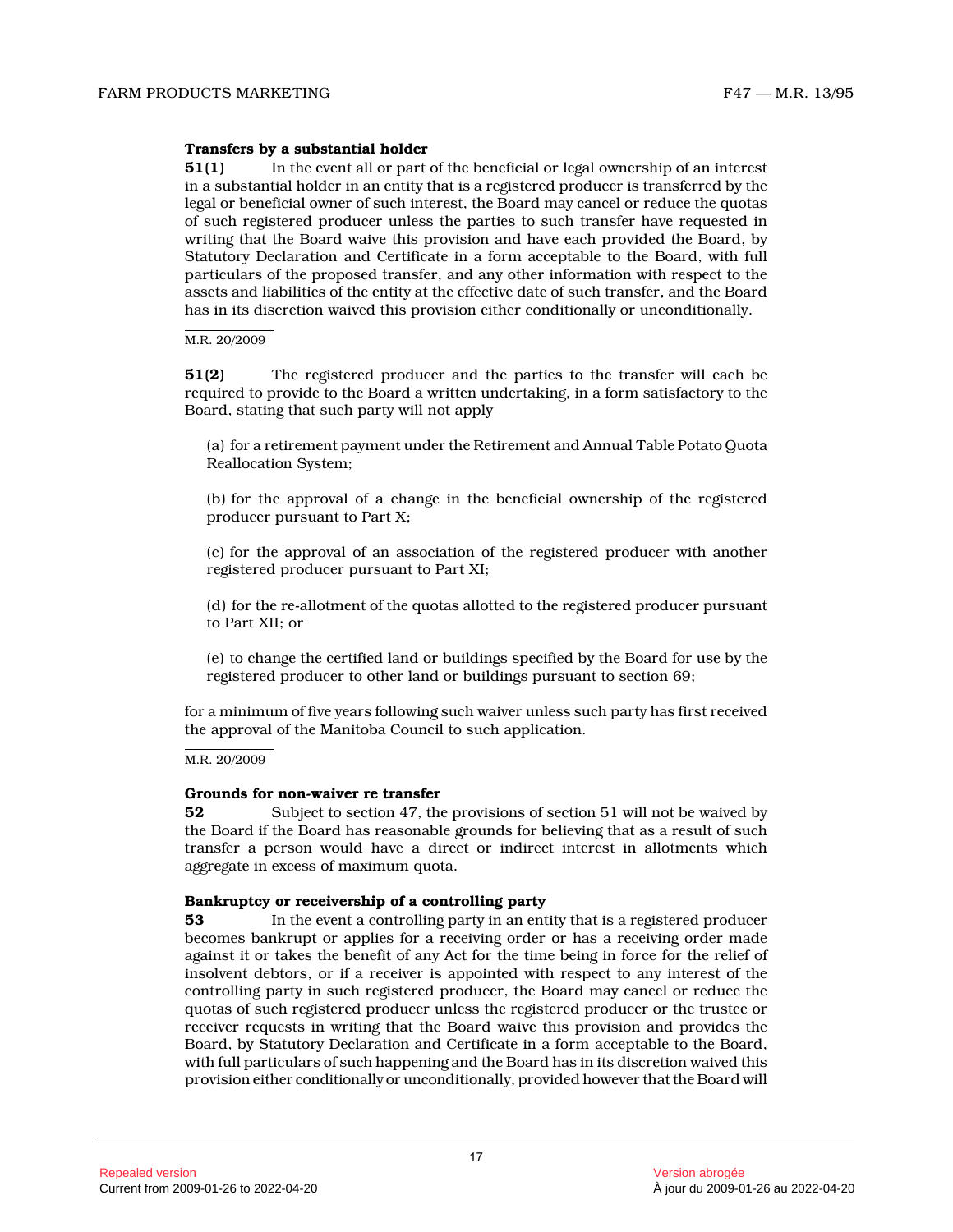# **Transfers by a substantial holder**

**51(1)** In the event all or part of the beneficial or legal ownership of an interest in a substantial holder in an entity that is a registered producer is transferred by the legal or beneficial owner of such interest, the Board may cancel or reduce the quotas of such registered producer unless the parties to such transfer have requested in writing that the Board waive this provision and have each provided the Board, by Statutory Declaration and Certificate in a form acceptable to the Board, with full particulars of the proposed transfer, and any other information with respect to the assets and liabilities of the entity at the effective date of such transfer, and the Board has in its discretion waived this provision either conditionally or unconditionally.

#### M.R. 20/2009

**51(2)** The registered producer and the parties to the transfer will each be required to provide to the Board a written undertaking, in a form satisfactory to the Board, stating that such party will not apply

(a) for a retirement payment under the Retirement and Annual Table Potato Quota Reallocation System;

(b) for the approval of a change in the beneficial ownership of the registered producer pursuant to Part X;

(c) for the approval of an association of the registered producer with another registered producer pursuant to Part XI;

(d) for the re-allotment of the quotas allotted to the registered producer pursuant to Part XII; or

(e) to change the certified land or buildings specified by the Board for use by the registered producer to other land or buildings pursuant to section 69;

for a minimum of five years following such waiver unless such party has first received the approval of the Manitoba Council to such application.

#### M.R. 20/2009

# **Grounds for non-waiver re transfer**

**52** Subject to section 47, the provisions of section 51 will not be waived by the Board if the Board has reasonable grounds for believing that as a result of such transfer a person would have a direct or indirect interest in allotments which aggregate in excess of maximum quota.

#### **Bankruptcy or receivership of a controlling party**

**53** In the event a controlling party in an entity that is a registered producer becomes bankrupt or applies for a receiving order or has a receiving order made against it or takes the benefit of any Act for the time being in force for the relief of insolvent debtors, or if a receiver is appointed with respect to any interest of the controlling party in such registered producer, the Board may cancel or reduce the quotas of such registered producer unless the registered producer or the trustee or receiver requests in writing that the Board waive this provision and provides the Board, by Statutory Declaration and Certificate in a form acceptable to the Board, with full particulars of such happening and the Board has in its discretion waived this provision either conditionally or unconditionally, provided however that the Board will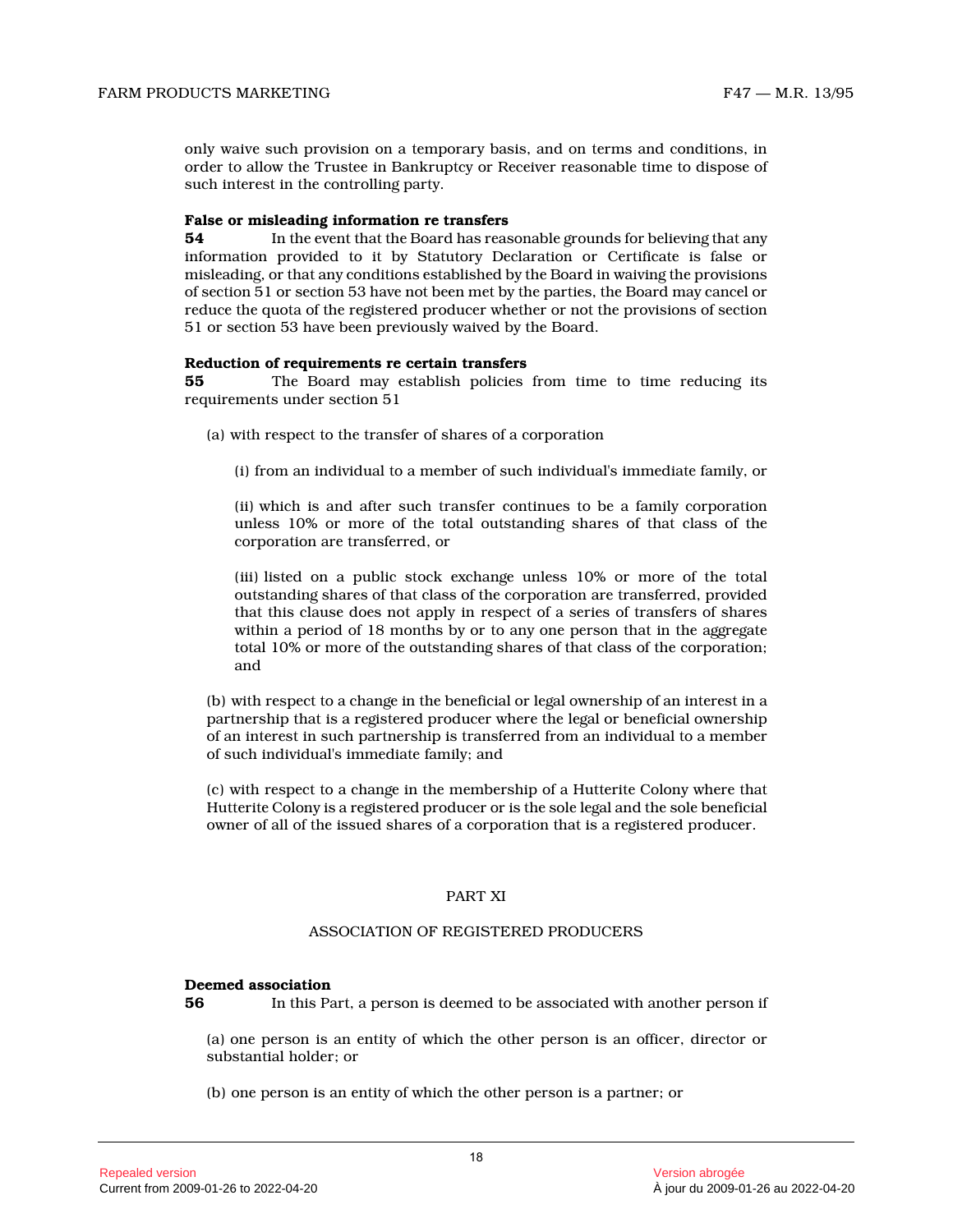only waive such provision on a temporary basis, and on terms and conditions, in order to allow the Trustee in Bankruptcy or Receiver reasonable time to dispose of such interest in the controlling party.

#### **False or misleading information re transfers**

**54** In the event that the Board has reasonable grounds for believing that any information provided to it by Statutory Declaration or Certificate is false or misleading, or that any conditions established by the Board in waiving the provisions of section 51 or section 53 have not been met by the parties, the Board may cancel or reduce the quota of the registered producer whether or not the provisions of section 51 or section 53 have been previously waived by the Board.

#### **Reduction of requirements re certain transfers**

**55** The Board may establish policies from time to time reducing its requirements under section 51

- (a) with respect to the transfer of shares of a corporation
	- (i) from an individual to a member of such individual's immediate family, or

(ii) which is and after such transfer continues to be a family corporation unless 10% or more of the total outstanding shares of that class of the corporation are transferred, or

(iii) listed on a public stock exchange unless 10% or more of the total outstanding shares of that class of the corporation are transferred, provided that this clause does not apply in respect of a series of transfers of shares within a period of 18 months by or to any one person that in the aggregate total 10% or more of the outstanding shares of that class of the corporation; and

(b) with respect to a change in the beneficial or legal ownership of an interest in a partnership that is a registered producer where the legal or beneficial ownership of an interest in such partnership is transferred from an individual to a member of such individual's immediate family; and

(c) with respect to a change in the membership of a Hutterite Colony where that Hutterite Colony is a registered producer or is the sole legal and the sole beneficial owner of all of the issued shares of a corporation that is a registered producer.

#### PART XI

#### ASSOCIATION OF REGISTERED PRODUCERS

#### **Deemed association**

**56** In this Part, a person is deemed to be associated with another person if

(a) one person is an entity of which the other person is an officer, director or substantial holder; or

(b) one person is an entity of which the other person is a partner; or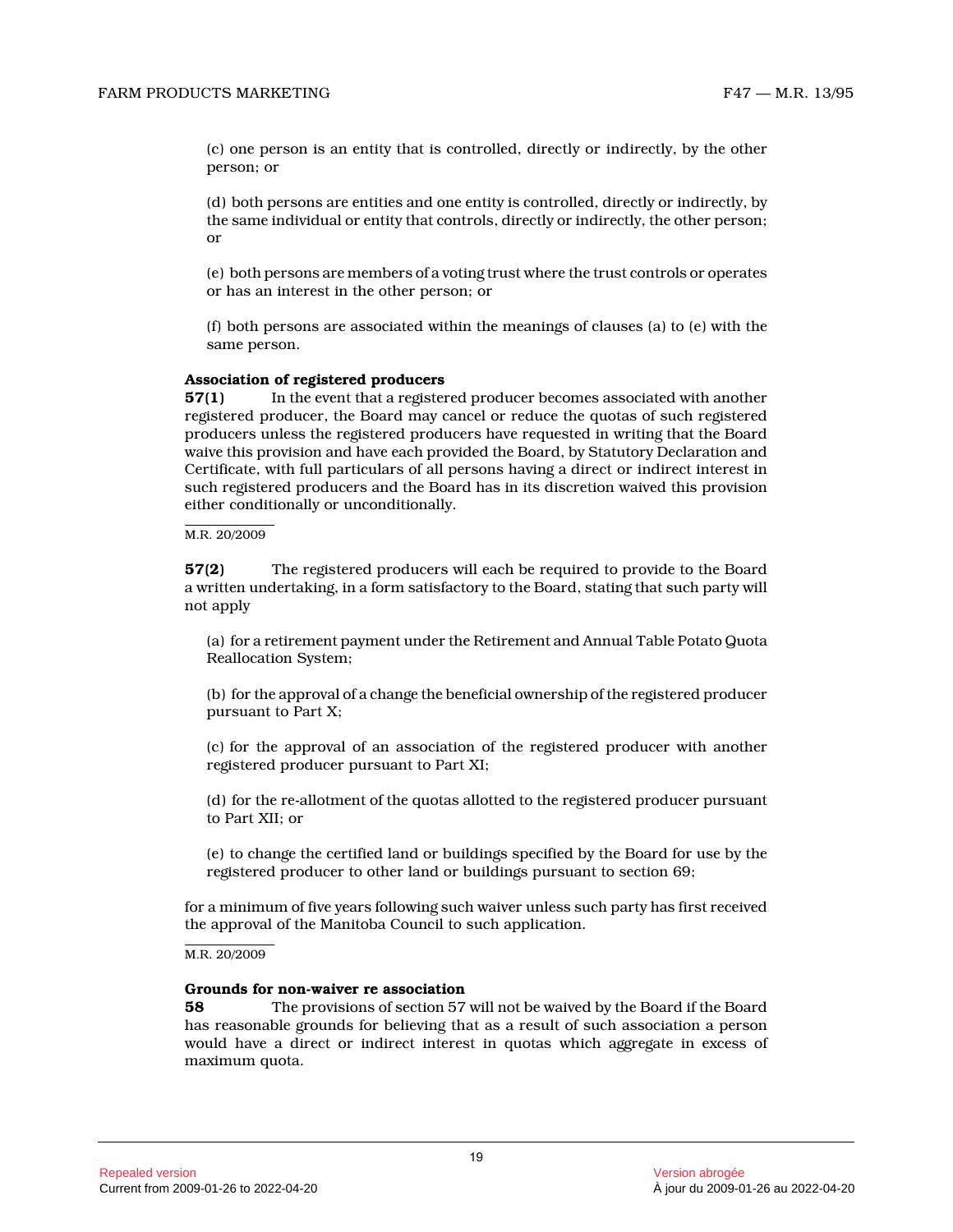(c) one person is an entity that is controlled, directly or indirectly, by the other person; or

(d) both persons are entities and one entity is controlled, directly or indirectly, by the same individual or entity that controls, directly or indirectly, the other person; or

(e) both persons are members of a voting trust where the trust controls or operates or has an interest in the other person; or

(f) both persons are associated within the meanings of clauses (a) to (e) with the same person.

#### **Association of registered producers**

**57(1)** In the event that a registered producer becomes associated with another registered producer, the Board may cancel or reduce the quotas of such registered producers unless the registered producers have requested in writing that the Board waive this provision and have each provided the Board, by Statutory Declaration and Certificate, with full particulars of all persons having a direct or indirect interest in such registered producers and the Board has in its discretion waived this provision either conditionally or unconditionally.

#### M.R. 20/2009

**57(2)** The registered producers will each be required to provide to the Board a written undertaking, in a form satisfactory to the Board, stating that such party will not apply

(a) for a retirement payment under the Retirement and Annual Table Potato Quota Reallocation System;

(b) for the approval of a change the beneficial ownership of the registered producer pursuant to Part X;

(c) for the approval of an association of the registered producer with another registered producer pursuant to Part XI;

(d) for the re-allotment of the quotas allotted to the registered producer pursuant to Part XII; or

(e) to change the certified land or buildings specified by the Board for use by the registered producer to other land or buildings pursuant to section 69;

for a minimum of five years following such waiver unless such party has first received the approval of the Manitoba Council to such application.

#### M.R. 20/2009

#### **Grounds for non-waiver re association**

**58** The provisions of section 57 will not be waived by the Board if the Board has reasonable grounds for believing that as a result of such association a person would have a direct or indirect interest in quotas which aggregate in excess of maximum quota.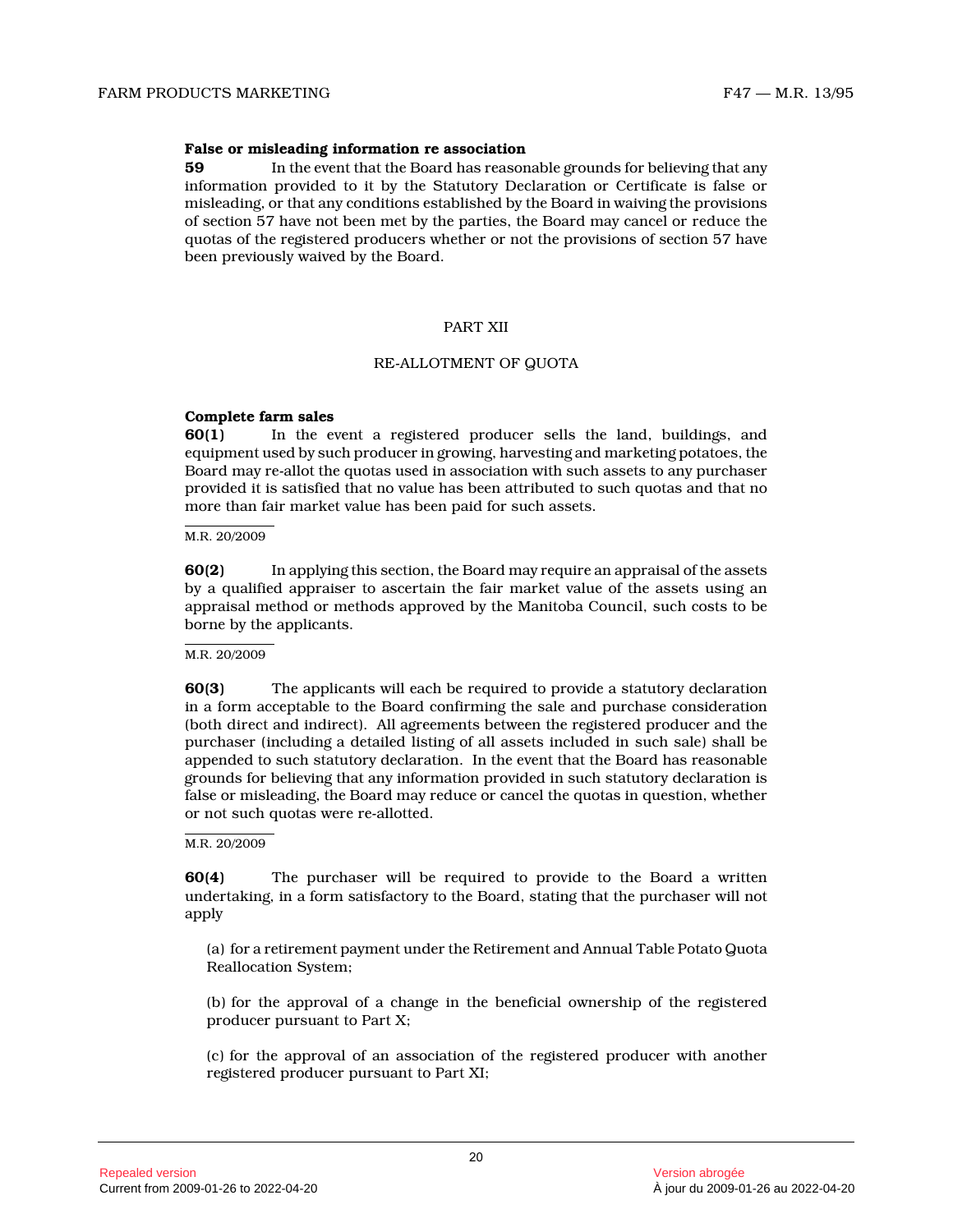#### **False or misleading information re association**

**59** In the event that the Board has reasonable grounds for believing that any information provided to it by the Statutory Declaration or Certificate is false or misleading, or that any conditions established by the Board in waiving the provisions of section 57 have not been met by the parties, the Board may cancel or reduce the quotas of the registered producers whether or not the provisions of section 57 have been previously waived by the Board.

#### PART XII

#### RE-ALLOTMENT OF QUOTA

#### **Complete farm sales**

**60(1)** In the event a registered producer sells the land, buildings, and equipment used by such producer in growing, harvesting and marketing potatoes, the Board may re-allot the quotas used in association with such assets to any purchaser provided it is satisfied that no value has been attributed to such quotas and that no more than fair market value has been paid for such assets.

#### M.R. 20/2009

**60(2)** In applying this section, the Board may require an appraisal of the assets by a qualified appraiser to ascertain the fair market value of the assets using an appraisal method or methods approved by the Manitoba Council, such costs to be borne by the applicants.

#### M.R. 20/2009

**60(3)** The applicants will each be required to provide a statutory declaration in a form acceptable to the Board confirming the sale and purchase consideration (both direct and indirect). All agreements between the registered producer and the purchaser (including a detailed listing of all assets included in such sale) shall be appended to such statutory declaration. In the event that the Board has reasonable grounds for believing that any information provided in such statutory declaration is false or misleading, the Board may reduce or cancel the quotas in question, whether or not such quotas were re-allotted.

M.R. 20/2009

**60(4)** The purchaser will be required to provide to the Board a written undertaking, in a form satisfactory to the Board, stating that the purchaser will not apply

(a) for a retirement payment under the Retirement and Annual Table Potato Quota Reallocation System;

(b) for the approval of a change in the beneficial ownership of the registered producer pursuant to Part X;

(c) for the approval of an association of the registered producer with another registered producer pursuant to Part XI;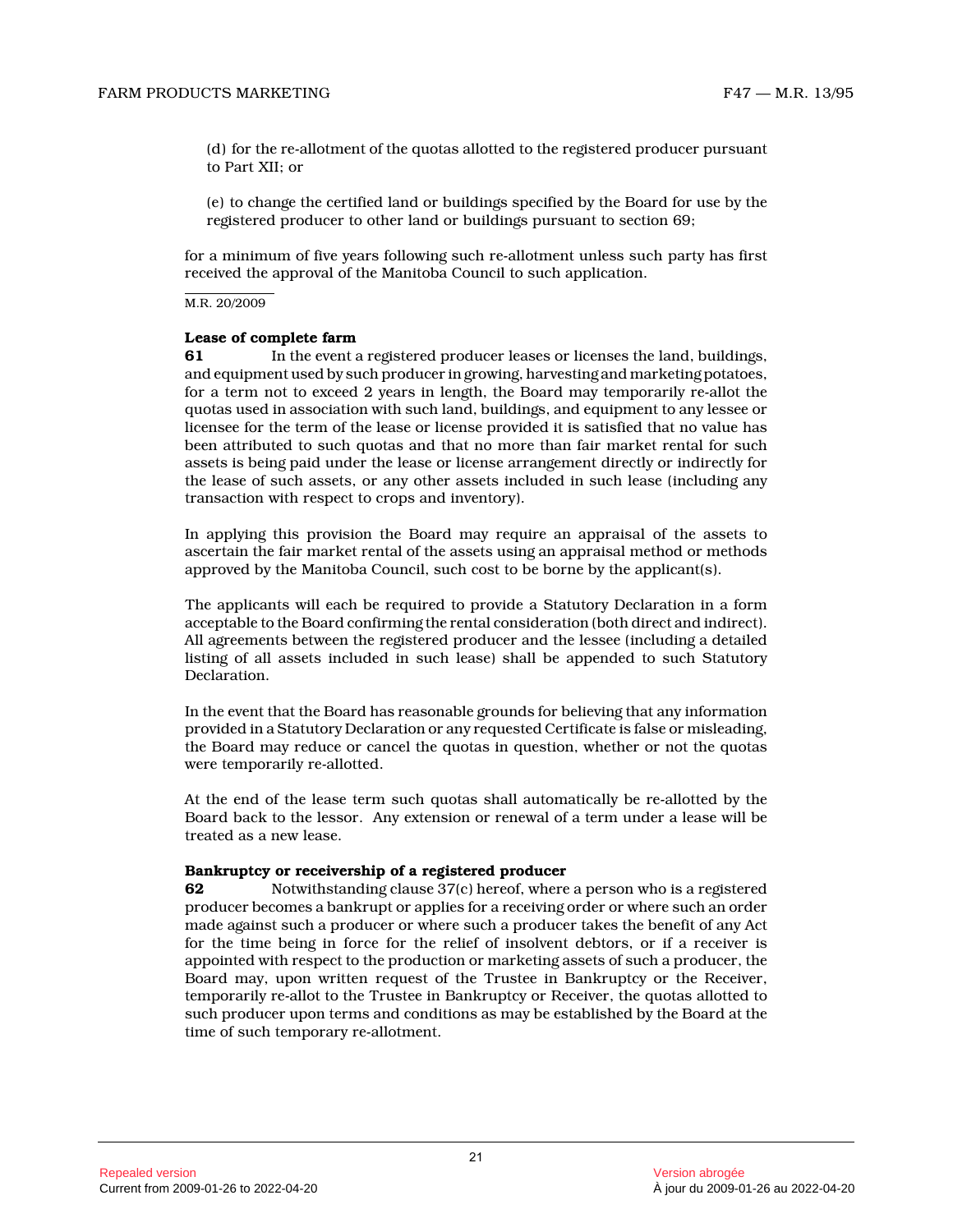(d) for the re-allotment of the quotas allotted to the registered producer pursuant to Part XII; or

(e) to change the certified land or buildings specified by the Board for use by the registered producer to other land or buildings pursuant to section 69;

for a minimum of five years following such re-allotment unless such party has first received the approval of the Manitoba Council to such application.

M.R. 20/2009

#### **Lease of complete farm**

**61** In the event a registered producer leases or licenses the land, buildings, and equipment used by such producer in growing, harvesting and marketing potatoes, for a term not to exceed 2 years in length, the Board may temporarily re-allot the quotas used in association with such land, buildings, and equipment to any lessee or licensee for the term of the lease or license provided it is satisfied that no value has been attributed to such quotas and that no more than fair market rental for such assets is being paid under the lease or license arrangement directly or indirectly for the lease of such assets, or any other assets included in such lease (including any transaction with respect to crops and inventory).

In applying this provision the Board may require an appraisal of the assets to ascertain the fair market rental of the assets using an appraisal method or methods approved by the Manitoba Council, such cost to be borne by the applicant(s).

The applicants will each be required to provide a Statutory Declaration in a form acceptable to the Board confirming the rental consideration (both direct and indirect). All agreements between the registered producer and the lessee (including a detailed listing of all assets included in such lease) shall be appended to such Statutory Declaration.

In the event that the Board has reasonable grounds for believing that any information provided in a Statutory Declaration or any requested Certificate is false or misleading, the Board may reduce or cancel the quotas in question, whether or not the quotas were temporarily re-allotted.

At the end of the lease term such quotas shall automatically be re-allotted by the Board back to the lessor. Any extension or renewal of a term under a lease will be treated as a new lease.

# **Bankruptcy or receivership of a registered producer**

**62** Notwithstanding clause 37(c) hereof, where a person who is a registered producer becomes a bankrupt or applies for a receiving order or where such an order made against such a producer or where such a producer takes the benefit of any Act for the time being in force for the relief of insolvent debtors, or if a receiver is appointed with respect to the production or marketing assets of such a producer, the Board may, upon written request of the Trustee in Bankruptcy or the Receiver, temporarily re-allot to the Trustee in Bankruptcy or Receiver, the quotas allotted to such producer upon terms and conditions as may be established by the Board at the time of such temporary re-allotment.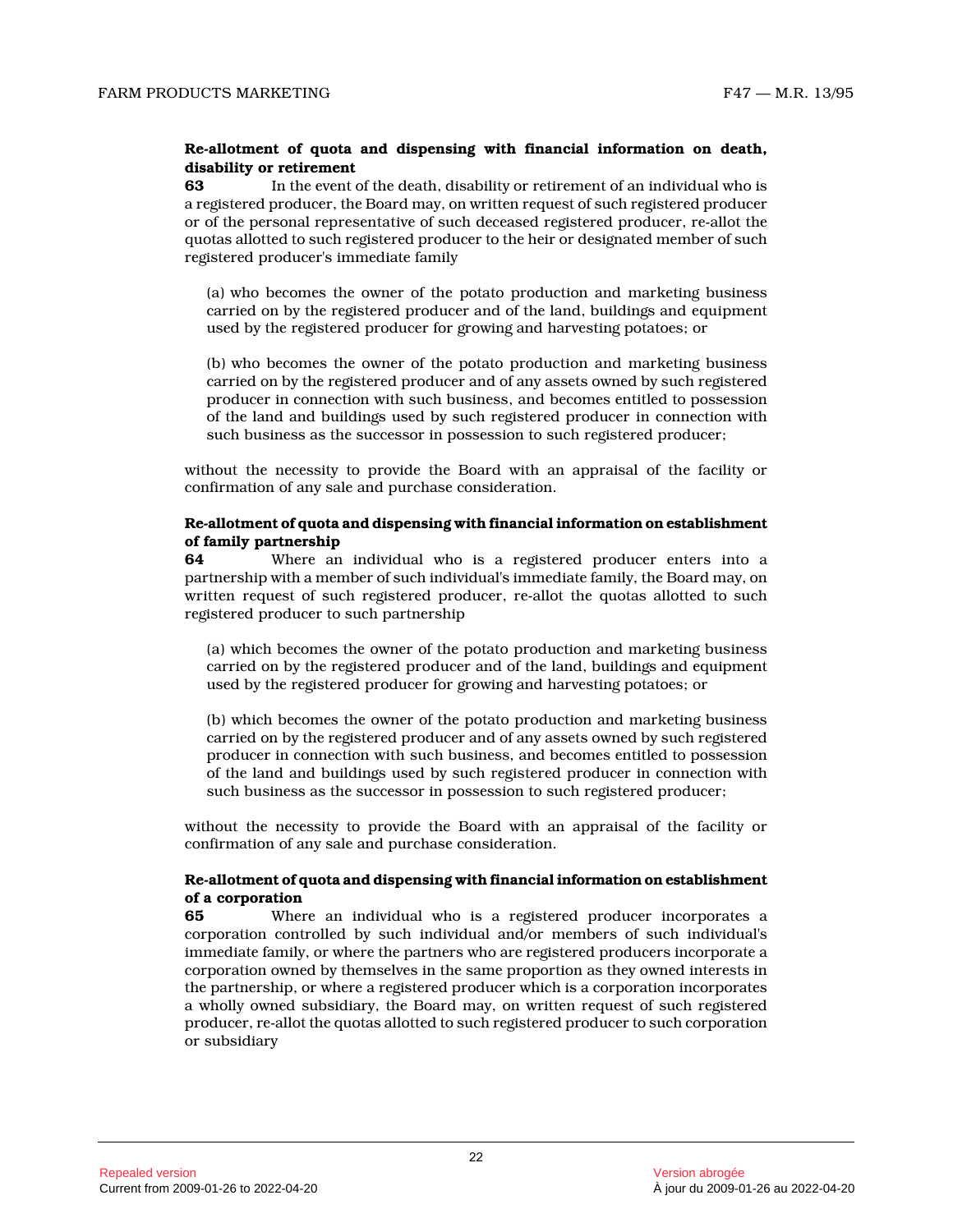# **Re-allotment of quota and dispensing with financial information on death, disability or retirement**

**63** In the event of the death, disability or retirement of an individual who is a registered producer, the Board may, on written request of such registered producer or of the personal representative of such deceased registered producer, re-allot the quotas allotted to such registered producer to the heir or designated member of such registered producer's immediate family

(a) who becomes the owner of the potato production and marketing business carried on by the registered producer and of the land, buildings and equipment used by the registered producer for growing and harvesting potatoes; or

(b) who becomes the owner of the potato production and marketing business carried on by the registered producer and of any assets owned by such registered producer in connection with such business, and becomes entitled to possession of the land and buildings used by such registered producer in connection with such business as the successor in possession to such registered producer;

without the necessity to provide the Board with an appraisal of the facility or confirmation of any sale and purchase consideration.

# **Re-allotment of quota and dispensing with financial information on establishment of family partnership**

**64** Where an individual who is a registered producer enters into a partnership with a member of such individual's immediate family, the Board may, on written request of such registered producer, re-allot the quotas allotted to such registered producer to such partnership

(a) which becomes the owner of the potato production and marketing business carried on by the registered producer and of the land, buildings and equipment used by the registered producer for growing and harvesting potatoes; or

(b) which becomes the owner of the potato production and marketing business carried on by the registered producer and of any assets owned by such registered producer in connection with such business, and becomes entitled to possession of the land and buildings used by such registered producer in connection with such business as the successor in possession to such registered producer;

without the necessity to provide the Board with an appraisal of the facility or confirmation of any sale and purchase consideration.

# **Re-allotment of quota and dispensing with financial information on establishment of a corporation**

**65** Where an individual who is a registered producer incorporates a corporation controlled by such individual and/or members of such individual's immediate family, or where the partners who are registered producers incorporate a corporation owned by themselves in the same proportion as they owned interests in the partnership, or where a registered producer which is a corporation incorporates a wholly owned subsidiary, the Board may, on written request of such registered producer, re-allot the quotas allotted to such registered producer to such corporation or subsidiary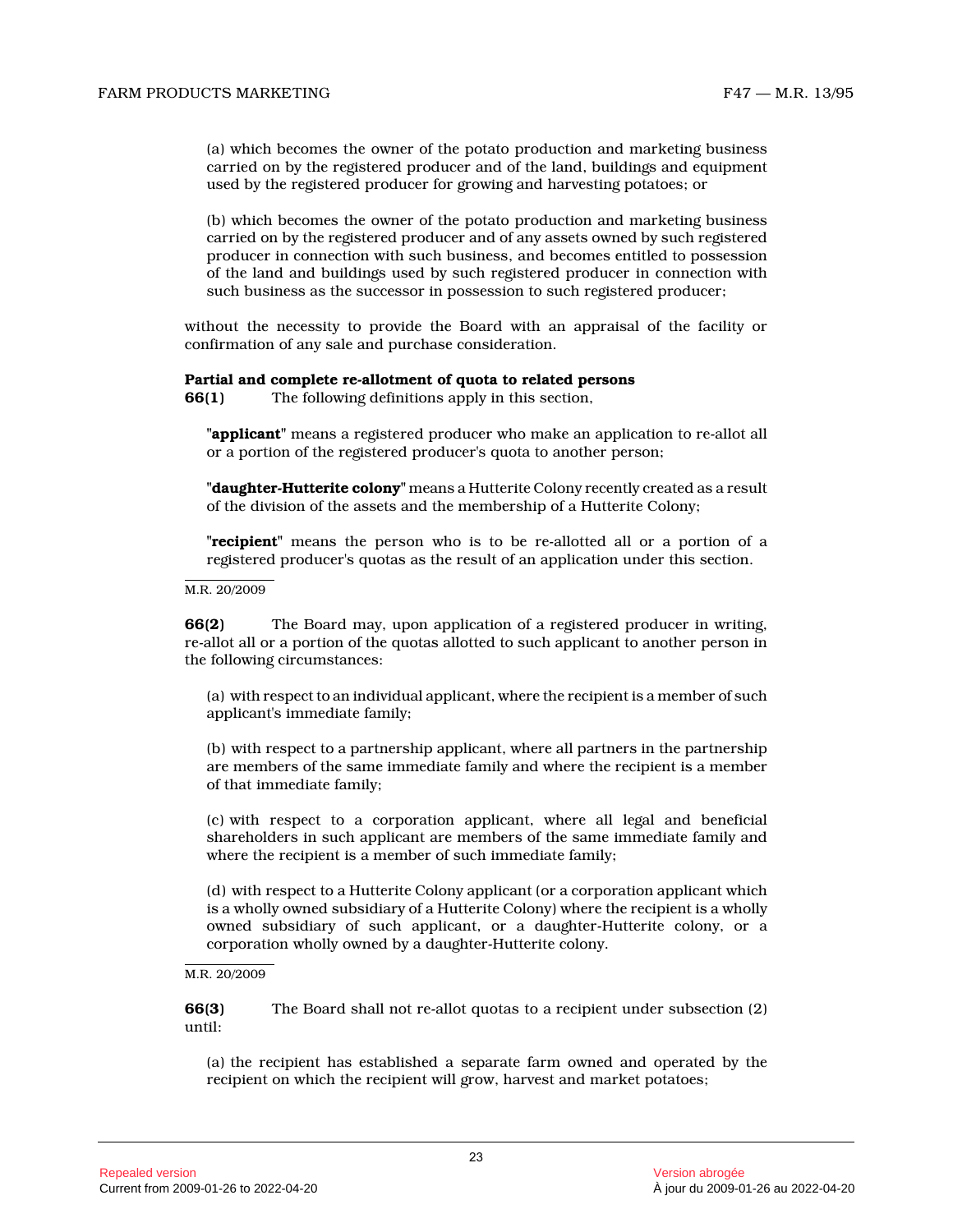(a) which becomes the owner of the potato production and marketing business carried on by the registered producer and of the land, buildings and equipment used by the registered producer for growing and harvesting potatoes; or

(b) which becomes the owner of the potato production and marketing business carried on by the registered producer and of any assets owned by such registered producer in connection with such business, and becomes entitled to possession of the land and buildings used by such registered producer in connection with such business as the successor in possession to such registered producer;

without the necessity to provide the Board with an appraisal of the facility or confirmation of any sale and purchase consideration.

#### **Partial and complete re-allotment of quota to related persons**

**66(1)** The following definitions apply in this section,

**"applicant"** means a registered producer who make an application to re-allot all or a portion of the registered producer's quota to another person;

**"daughter-Hutterite colony"** means a Hutterite Colony recently created as a result of the division of the assets and the membership of a Hutterite Colony;

**"recipient"** means the person who is to be re-allotted all or a portion of a registered producer's quotas as the result of an application under this section.

M.R. 20/2009

**66(2)** The Board may, upon application of a registered producer in writing, re-allot all or a portion of the quotas allotted to such applicant to another person in the following circumstances:

(a) with respect to an individual applicant, where the recipient is a member of such applicant's immediate family;

(b) with respect to a partnership applicant, where all partners in the partnership are members of the same immediate family and where the recipient is a member of that immediate family;

(c) with respect to a corporation applicant, where all legal and beneficial shareholders in such applicant are members of the same immediate family and where the recipient is a member of such immediate family;

(d) with respect to a Hutterite Colony applicant (or a corporation applicant which is a wholly owned subsidiary of a Hutterite Colony) where the recipient is a wholly owned subsidiary of such applicant, or a daughter-Hutterite colony, or a corporation wholly owned by a daughter-Hutterite colony.

#### M.R. 20/2009

**66(3)** The Board shall not re-allot quotas to a recipient under subsection (2) until:

(a) the recipient has established a separate farm owned and operated by the recipient on which the recipient will grow, harvest and market potatoes;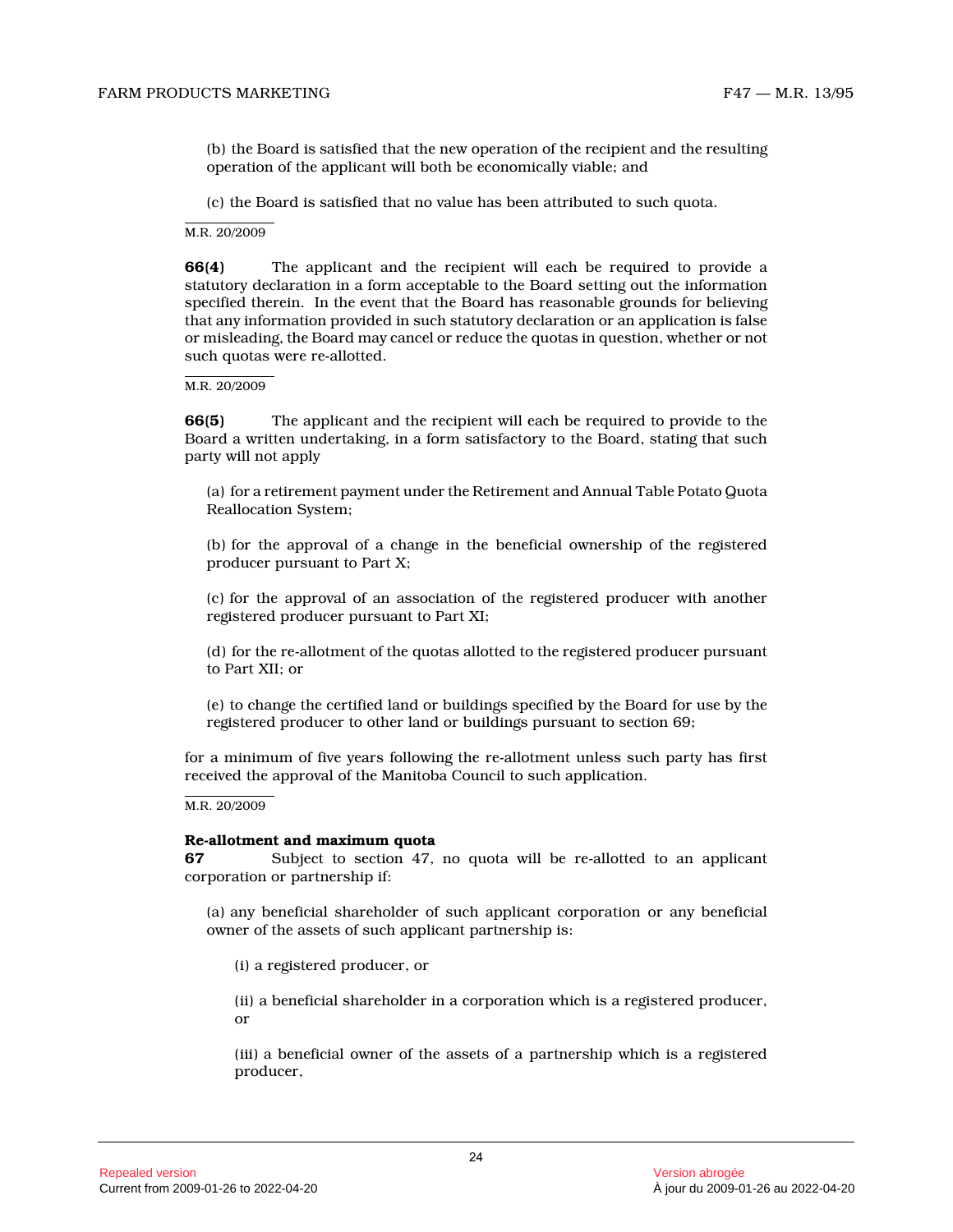(b) the Board is satisfied that the new operation of the recipient and the resulting operation of the applicant will both be economically viable; and

(c) the Board is satisfied that no value has been attributed to such quota.

M.R. 20/2009

**66(4)** The applicant and the recipient will each be required to provide a statutory declaration in a form acceptable to the Board setting out the information specified therein. In the event that the Board has reasonable grounds for believing that any information provided in such statutory declaration or an application is false or misleading, the Board may cancel or reduce the quotas in question, whether or not such quotas were re-allotted.

#### M.R. 20/2009

**66(5)** The applicant and the recipient will each be required to provide to the Board a written undertaking, in a form satisfactory to the Board, stating that such party will not apply

(a) for a retirement payment under the Retirement and Annual Table Potato Quota Reallocation System;

(b) for the approval of a change in the beneficial ownership of the registered producer pursuant to Part X;

(c) for the approval of an association of the registered producer with another registered producer pursuant to Part XI;

(d) for the re-allotment of the quotas allotted to the registered producer pursuant to Part XII; or

(e) to change the certified land or buildings specified by the Board for use by the registered producer to other land or buildings pursuant to section 69;

for a minimum of five years following the re-allotment unless such party has first received the approval of the Manitoba Council to such application.

M.R. 20/2009

#### **Re-allotment and maximum quota**

**67** Subject to section 47, no quota will be re-allotted to an applicant corporation or partnership if:

(a) any beneficial shareholder of such applicant corporation or any beneficial owner of the assets of such applicant partnership is:

(i) a registered producer, or

(ii) a beneficial shareholder in a corporation which is a registered producer, or

(iii) a beneficial owner of the assets of a partnership which is a registered producer,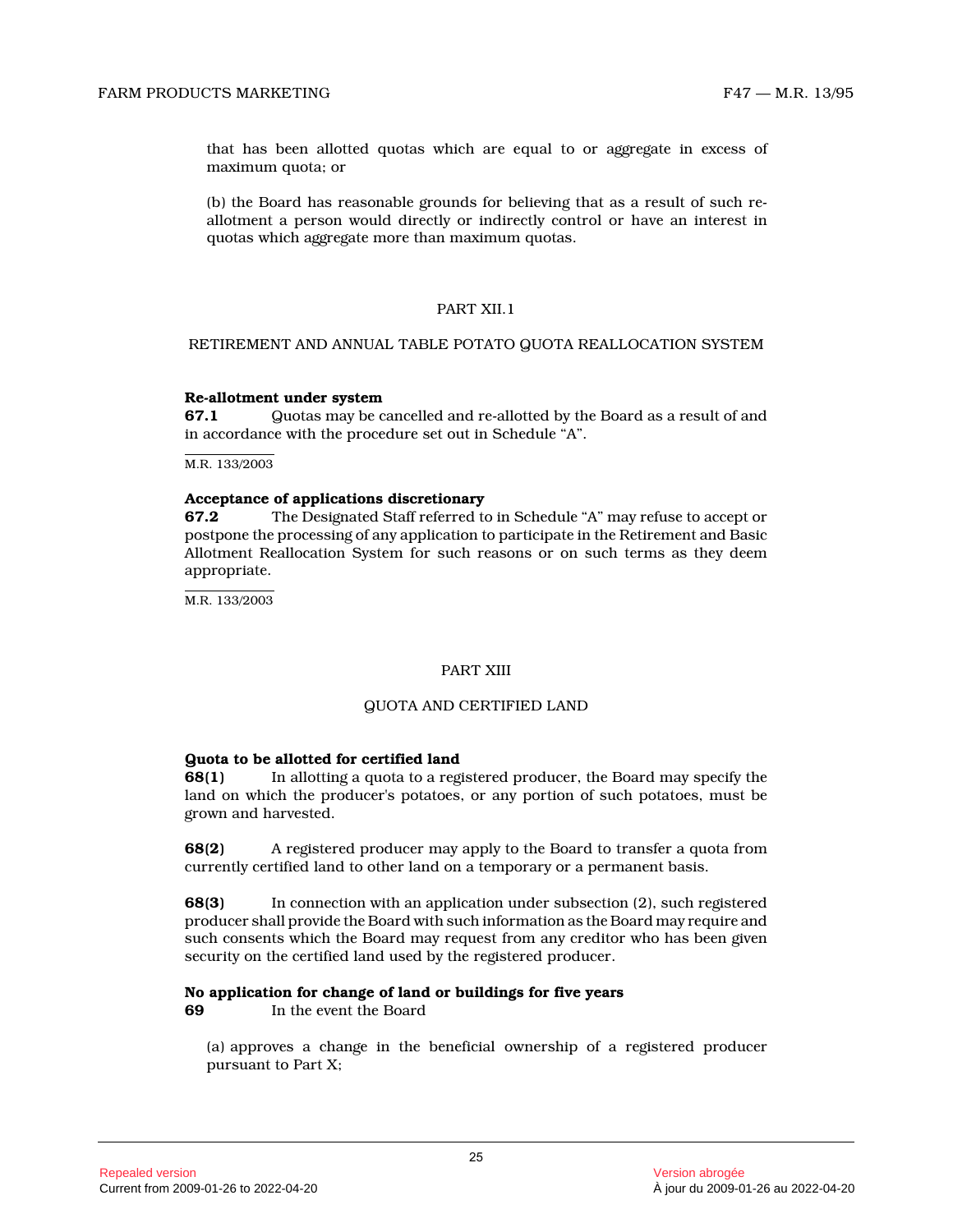that has been allotted quotas which are equal to or aggregate in excess of maximum quota; or

(b) the Board has reasonable grounds for believing that as a result of such reallotment a person would directly or indirectly control or have an interest in quotas which aggregate more than maximum quotas.

# PART XII.1

# RETIREMENT AND ANNUAL TABLE POTATO QUOTA REALLOCATION SYSTEM

#### **Re-allotment under system**

**67.1** Quotas may be cancelled and re-allotted by the Board as a result of and in accordance with the procedure set out in Schedule "A".

M.R. 133/2003

#### **Acceptance of applications discretionary**

**67.2** The Designated Staff referred to in Schedule "A" may refuse to accept or postpone the processing of any application to participate in the Retirement and Basic Allotment Reallocation System for such reasons or on such terms as they deem appropriate.

M.R. 133/2003

#### PART XIII

#### QUOTA AND CERTIFIED LAND

#### **Quota to be allotted for certified land**

**68(1)** In allotting a quota to a registered producer, the Board may specify the land on which the producer's potatoes, or any portion of such potatoes, must be grown and harvested.

**68(2)** A registered producer may apply to the Board to transfer a quota from currently certified land to other land on a temporary or a permanent basis.

**68(3)** In connection with an application under subsection (2), such registered producer shall provide the Board with such information as the Board may require and such consents which the Board may request from any creditor who has been given security on the certified land used by the registered producer.

#### **No application for change of land or buildings for five years**

**69** In the event the Board

(a) approves a change in the beneficial ownership of a registered producer pursuant to Part X;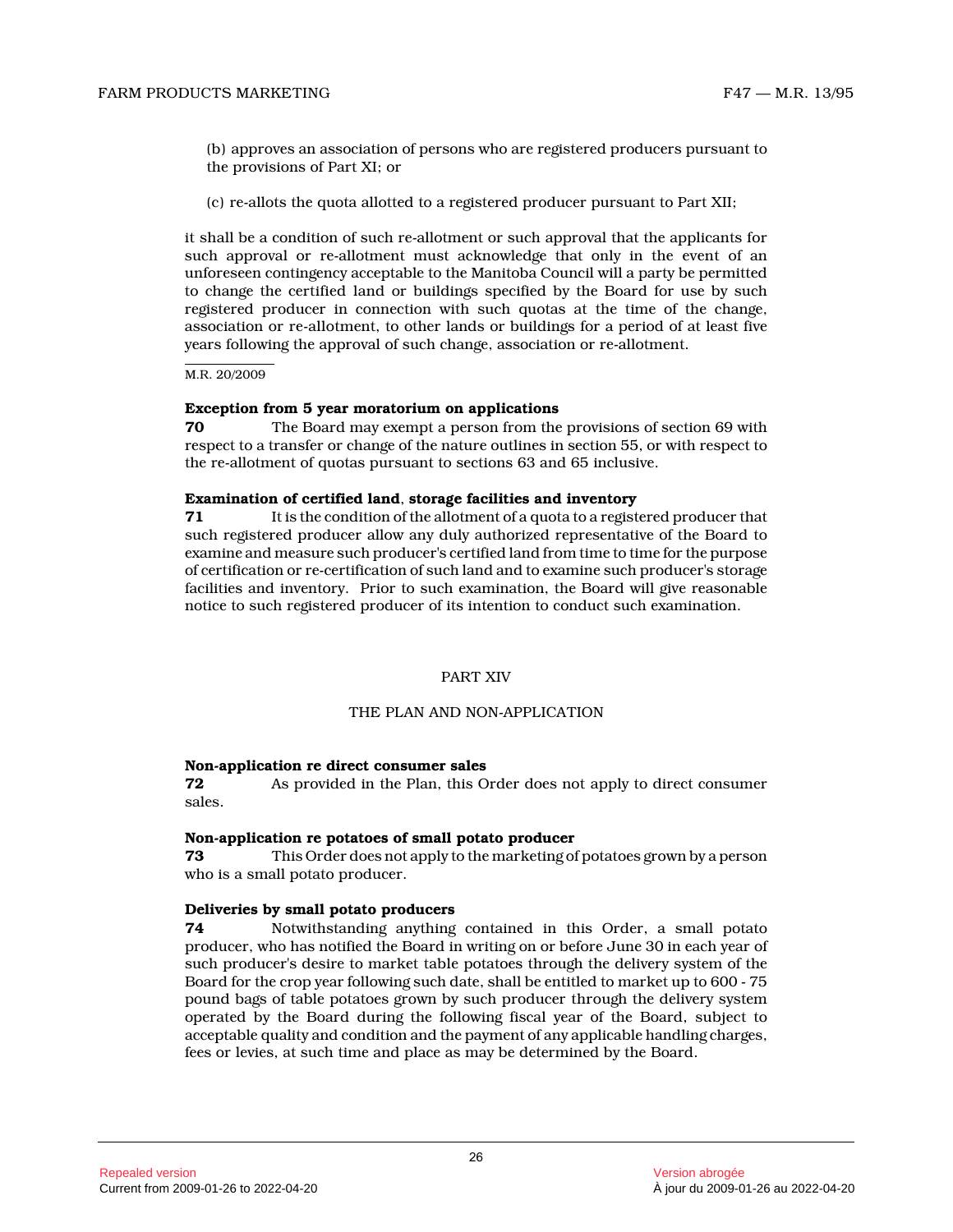(b) approves an association of persons who are registered producers pursuant to the provisions of Part XI; or

(c) re-allots the quota allotted to a registered producer pursuant to Part XII;

it shall be a condition of such re-allotment or such approval that the applicants for such approval or re-allotment must acknowledge that only in the event of an unforeseen contingency acceptable to the Manitoba Council will a party be permitted to change the certified land or buildings specified by the Board for use by such registered producer in connection with such quotas at the time of the change, association or re-allotment, to other lands or buildings for a period of at least five years following the approval of such change, association or re-allotment.

M.R. 20/2009

#### **Exception from 5 year moratorium on applications**

**70** The Board may exempt a person from the provisions of section 69 with respect to a transfer or change of the nature outlines in section 55, or with respect to the re-allotment of quotas pursuant to sections 63 and 65 inclusive.

#### **Examination of certified land**, **storage facilities and inventory**

**71** It is the condition of the allotment of a quota to a registered producer that such registered producer allow any duly authorized representative of the Board to examine and measure such producer's certified land from time to time for the purpose of certification or re-certification of such land and to examine such producer's storage facilities and inventory. Prior to such examination, the Board will give reasonable notice to such registered producer of its intention to conduct such examination.

# PART XIV

# THE PLAN AND NON-APPLICATION

#### **Non-application re direct consumer sales**

**72** As provided in the Plan, this Order does not apply to direct consumer sales.

#### **Non-application re potatoes of small potato producer**

**73** This Order does not apply to the marketing of potatoes grown by a person who is a small potato producer.

#### **Deliveries by small potato producers**

**74** Notwithstanding anything contained in this Order, a small potato producer, who has notified the Board in writing on or before June 30 in each year of such producer's desire to market table potatoes through the delivery system of the Board for the crop year following such date, shall be entitled to market up to 600 - 75 pound bags of table potatoes grown by such producer through the delivery system operated by the Board during the following fiscal year of the Board, subject to acceptable quality and condition and the payment of any applicable handling charges, fees or levies, at such time and place as may be determined by the Board.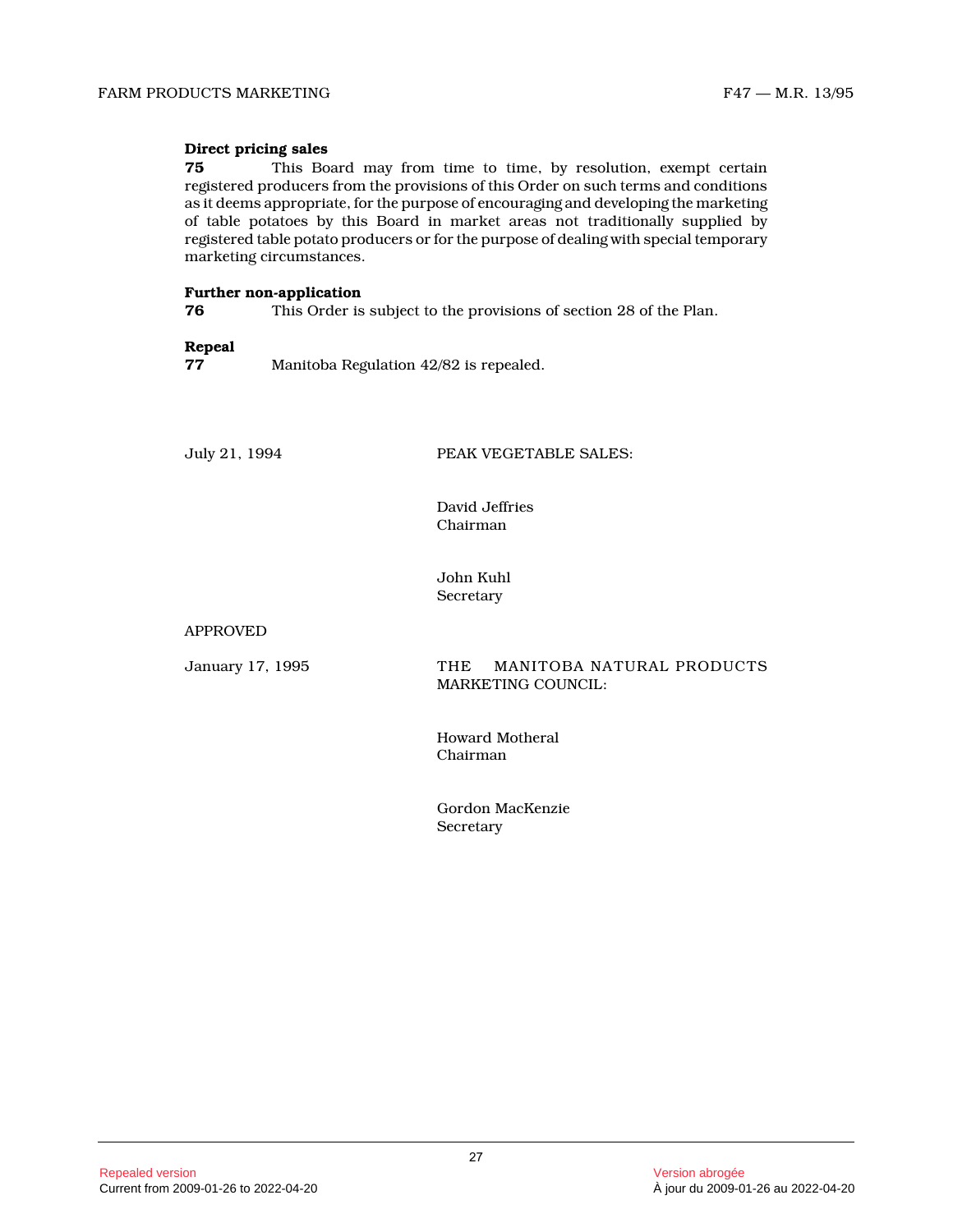# **Direct pricing sales**

**75** This Board may from time to time, by resolution, exempt certain registered producers from the provisions of this Order on such terms and conditions as it deems appropriate, for the purpose of encouraging and developing the marketing of table potatoes by this Board in market areas not traditionally supplied by registered table potato producers or for the purpose of dealing with special temporary marketing circumstances.

#### **Further non-application**

**76** This Order is subject to the provisions of section 28 of the Plan.

# **Repeal**

**77** Manitoba Regulation 42/82 is repealed.

July 21, 1994 PEAK VEGETABLE SALES:

David Jeffries Chairman

John Kuhl Secretary

APPROVED

January 17, 1995 THE MANITOBA NATURAL PRODUCTS MARKETING COUNCIL:

> Howard Motheral Chairman

Gordon MacKenzie Secretary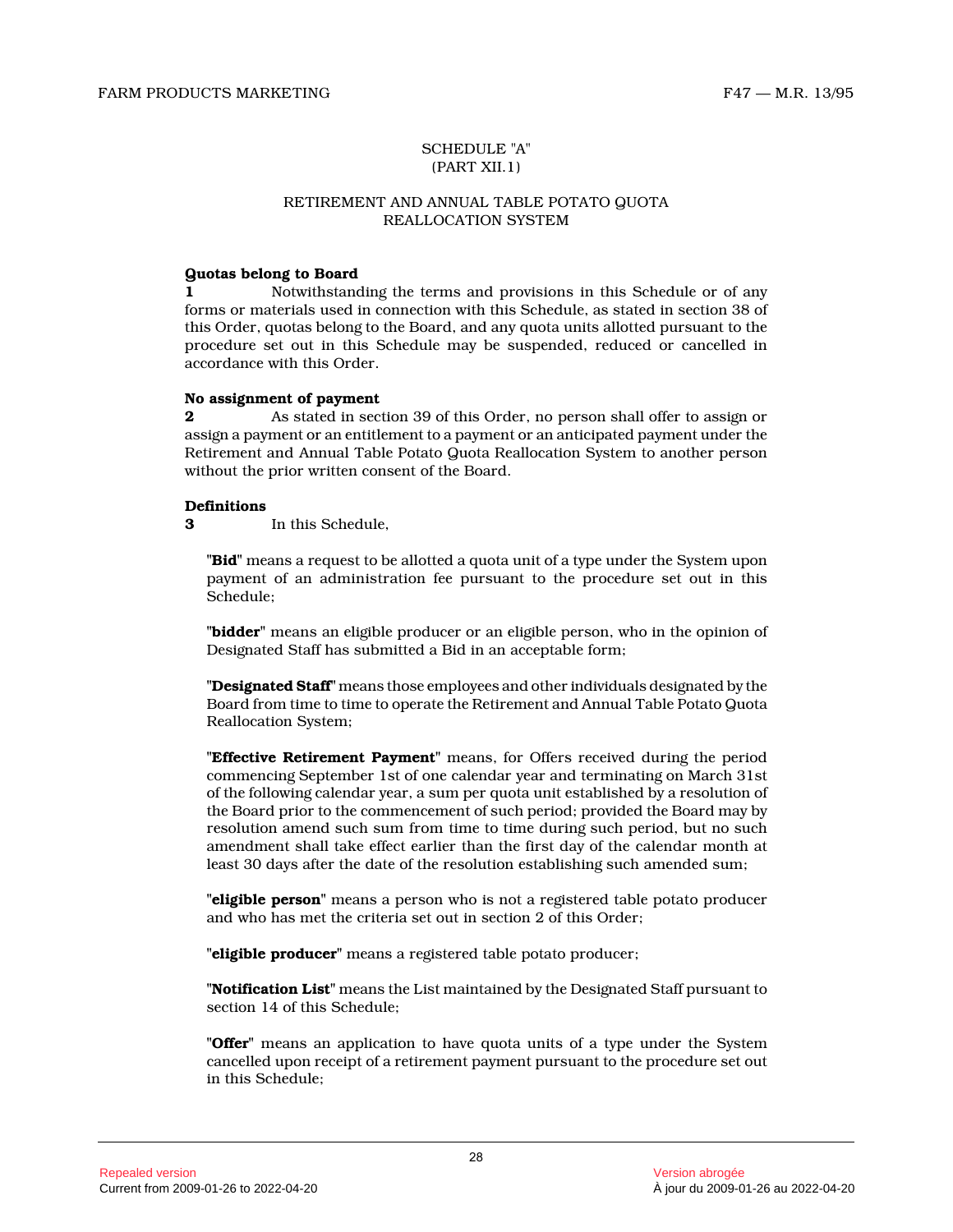# SCHEDULE "A" (PART XII.1)

#### RETIREMENT AND ANNUAL TABLE POTATO QUOTA REALLOCATION SYSTEM

# **Quotas belong to Board**

**1** Notwithstanding the terms and provisions in this Schedule or of any forms or materials used in connection with this Schedule, as stated in section 38 of this Order, quotas belong to the Board, and any quota units allotted pursuant to the procedure set out in this Schedule may be suspended, reduced or cancelled in accordance with this Order.

#### **No assignment of payment**

**2** As stated in section 39 of this Order, no person shall offer to assign or assign a payment or an entitlement to a payment or an anticipated payment under the Retirement and Annual Table Potato Quota Reallocation System to another person without the prior written consent of the Board.

# **Definitions**

**3** In this Schedule,

**"Bid"** means a request to be allotted a quota unit of a type under the System upon payment of an administration fee pursuant to the procedure set out in this Schedule;

**"bidder"** means an eligible producer or an eligible person, who in the opinion of Designated Staff has submitted a Bid in an acceptable form;

**"Designated Staff"** means those employees and other individuals designated by the Board from time to time to operate the Retirement and Annual Table Potato Quota Reallocation System;

**"Effective Retirement Payment"** means, for Offers received during the period commencing September 1st of one calendar year and terminating on March 31st of the following calendar year, a sum per quota unit established by a resolution of the Board prior to the commencement of such period; provided the Board may by resolution amend such sum from time to time during such period, but no such amendment shall take effect earlier than the first day of the calendar month at least 30 days after the date of the resolution establishing such amended sum;

**"eligible person"** means a person who is not a registered table potato producer and who has met the criteria set out in section 2 of this Order;

**"eligible producer"** means a registered table potato producer;

**"Notification List"** means the List maintained by the Designated Staff pursuant to section 14 of this Schedule;

**"Offer"** means an application to have quota units of a type under the System cancelled upon receipt of a retirement payment pursuant to the procedure set out in this Schedule;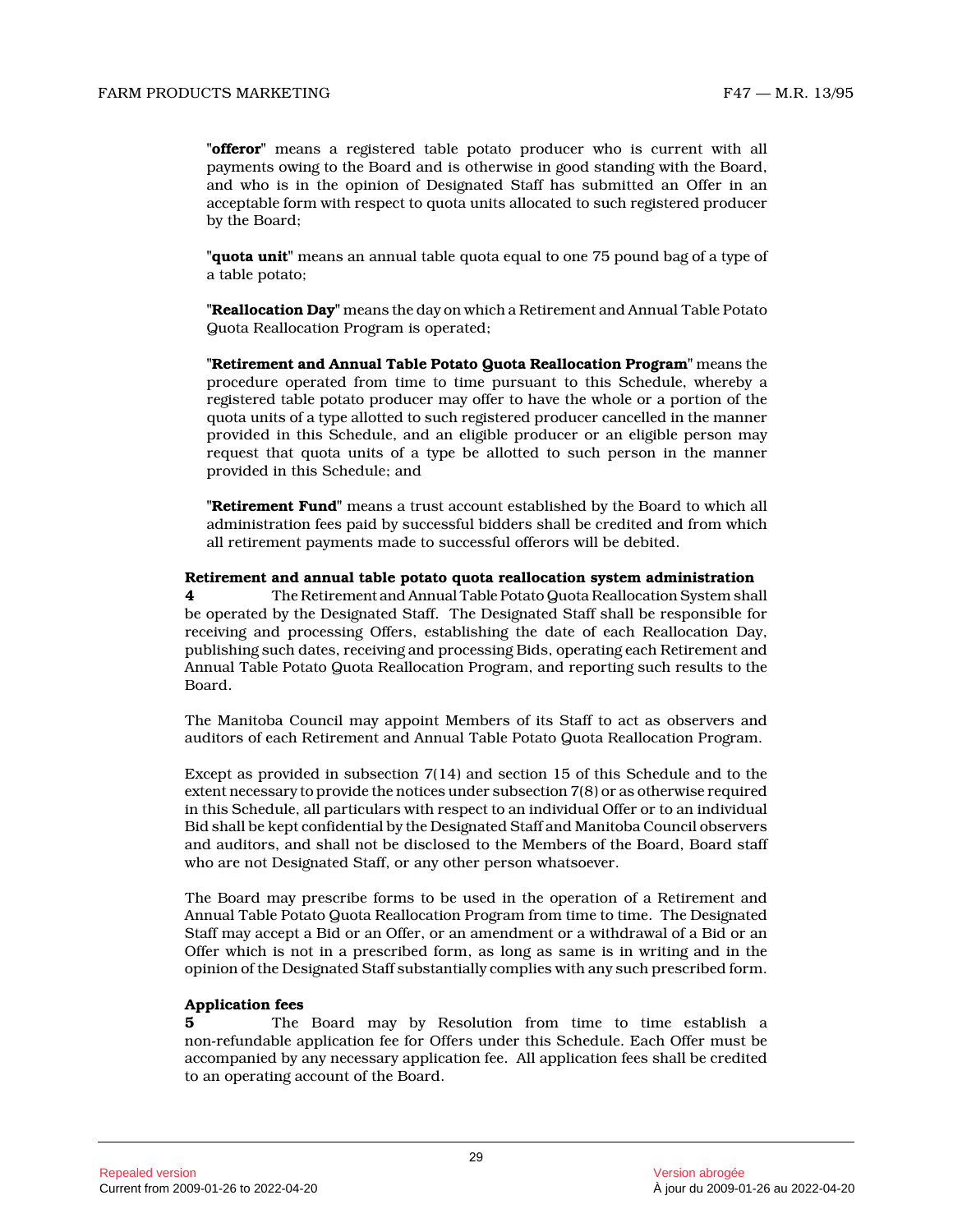**"offeror"** means a registered table potato producer who is current with all payments owing to the Board and is otherwise in good standing with the Board, and who is in the opinion of Designated Staff has submitted an Offer in an acceptable form with respect to quota units allocated to such registered producer by the Board;

**"quota unit"** means an annual table quota equal to one 75 pound bag of a type of a table potato;

**"Reallocation Day"** means the day on which a Retirement and Annual Table Potato Quota Reallocation Program is operated;

**"Retirement and Annual Table Potato Quota Reallocation Program"** means the procedure operated from time to time pursuant to this Schedule, whereby a registered table potato producer may offer to have the whole or a portion of the quota units of a type allotted to such registered producer cancelled in the manner provided in this Schedule, and an eligible producer or an eligible person may request that quota units of a type be allotted to such person in the manner provided in this Schedule; and

**"Retirement Fund"** means a trust account established by the Board to which all administration fees paid by successful bidders shall be credited and from which all retirement payments made to successful offerors will be debited.

#### **Retirement and annual table potato quota reallocation system administration**

**4** The Retirement and Annual Table Potato Quota Reallocation System shall be operated by the Designated Staff. The Designated Staff shall be responsible for receiving and processing Offers, establishing the date of each Reallocation Day, publishing such dates, receiving and processing Bids, operating each Retirement and Annual Table Potato Quota Reallocation Program, and reporting such results to the Board.

The Manitoba Council may appoint Members of its Staff to act as observers and auditors of each Retirement and Annual Table Potato Quota Reallocation Program.

Except as provided in subsection 7(14) and section 15 of this Schedule and to the extent necessary to provide the notices under subsection 7(8) or as otherwise required in this Schedule, all particulars with respect to an individual Offer or to an individual Bid shall be kept confidential by the Designated Staff and Manitoba Council observers and auditors, and shall not be disclosed to the Members of the Board, Board staff who are not Designated Staff, or any other person whatsoever.

The Board may prescribe forms to be used in the operation of a Retirement and Annual Table Potato Quota Reallocation Program from time to time. The Designated Staff may accept a Bid or an Offer, or an amendment or a withdrawal of a Bid or an Offer which is not in a prescribed form, as long as same is in writing and in the opinion of the Designated Staff substantially complies with any such prescribed form.

#### **Application fees**

**5** The Board may by Resolution from time to time establish a non-refundable application fee for Offers under this Schedule. Each Offer must be accompanied by any necessary application fee. All application fees shall be credited to an operating account of the Board.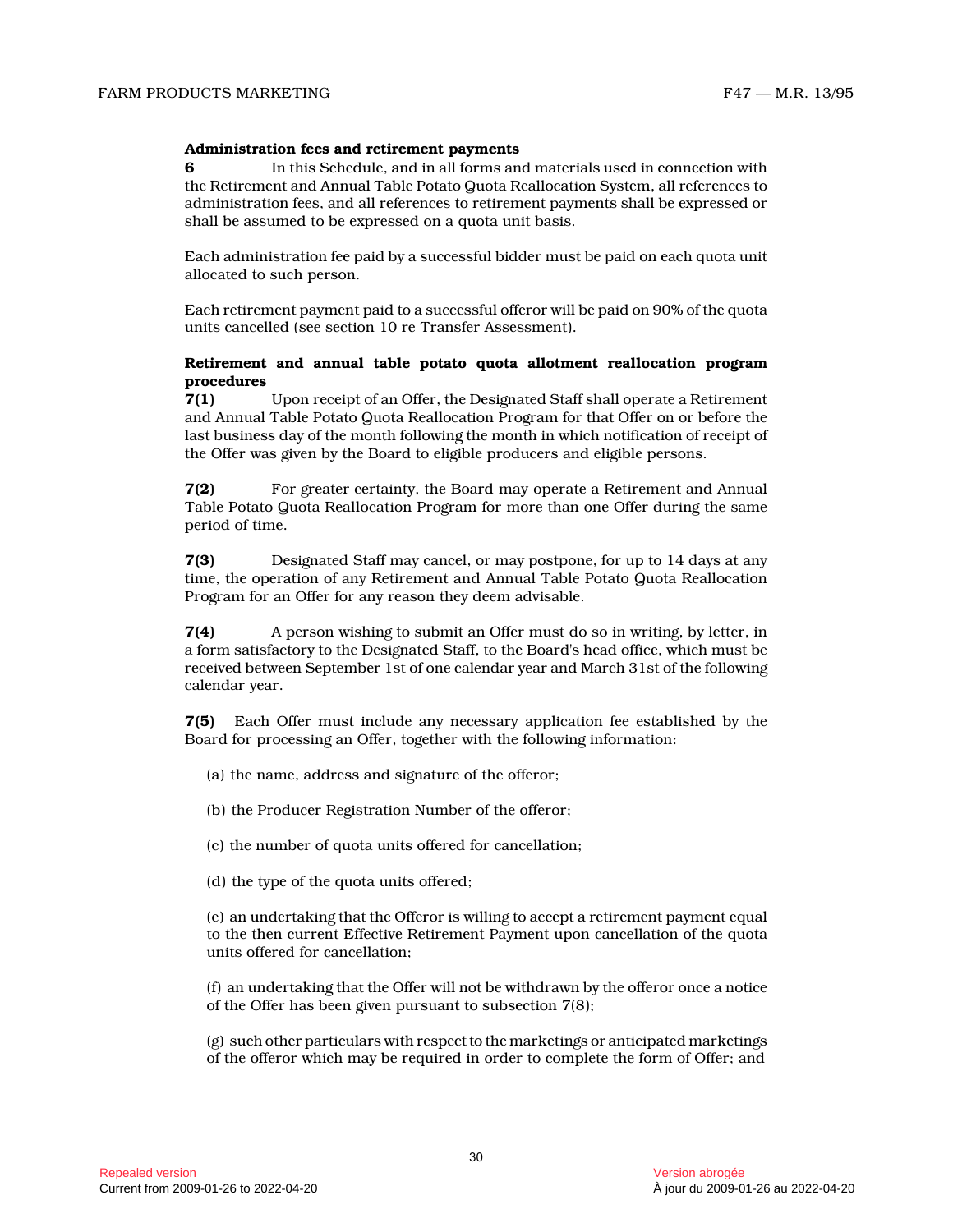#### **Administration fees and retirement payments**

**6** In this Schedule, and in all forms and materials used in connection with the Retirement and Annual Table Potato Quota Reallocation System, all references to administration fees, and all references to retirement payments shall be expressed or shall be assumed to be expressed on a quota unit basis.

Each administration fee paid by a successful bidder must be paid on each quota unit allocated to such person.

Each retirement payment paid to a successful offeror will be paid on 90% of the quota units cancelled (see section 10 re Transfer Assessment).

# **Retirement and annual table potato quota allotment reallocation program procedures**

**7(1)** Upon receipt of an Offer, the Designated Staff shall operate a Retirement and Annual Table Potato Quota Reallocation Program for that Offer on or before the last business day of the month following the month in which notification of receipt of the Offer was given by the Board to eligible producers and eligible persons.

**7(2)** For greater certainty, the Board may operate a Retirement and Annual Table Potato Quota Reallocation Program for more than one Offer during the same period of time.

**7(3)** Designated Staff may cancel, or may postpone, for up to 14 days at any time, the operation of any Retirement and Annual Table Potato Quota Reallocation Program for an Offer for any reason they deem advisable.

**7(4)** A person wishing to submit an Offer must do so in writing, by letter, in a form satisfactory to the Designated Staff, to the Board's head office, which must be received between September 1st of one calendar year and March 31st of the following calendar year.

**7(5)** Each Offer must include any necessary application fee established by the Board for processing an Offer, together with the following information:

- (a) the name, address and signature of the offeror;
- (b) the Producer Registration Number of the offeror;
- (c) the number of quota units offered for cancellation;
- (d) the type of the quota units offered;

(e) an undertaking that the Offeror is willing to accept a retirement payment equal to the then current Effective Retirement Payment upon cancellation of the quota units offered for cancellation;

(f) an undertaking that the Offer will not be withdrawn by the offeror once a notice of the Offer has been given pursuant to subsection 7(8);

(g) such other particulars with respect to the marketings or anticipated marketings of the offeror which may be required in order to complete the form of Offer; and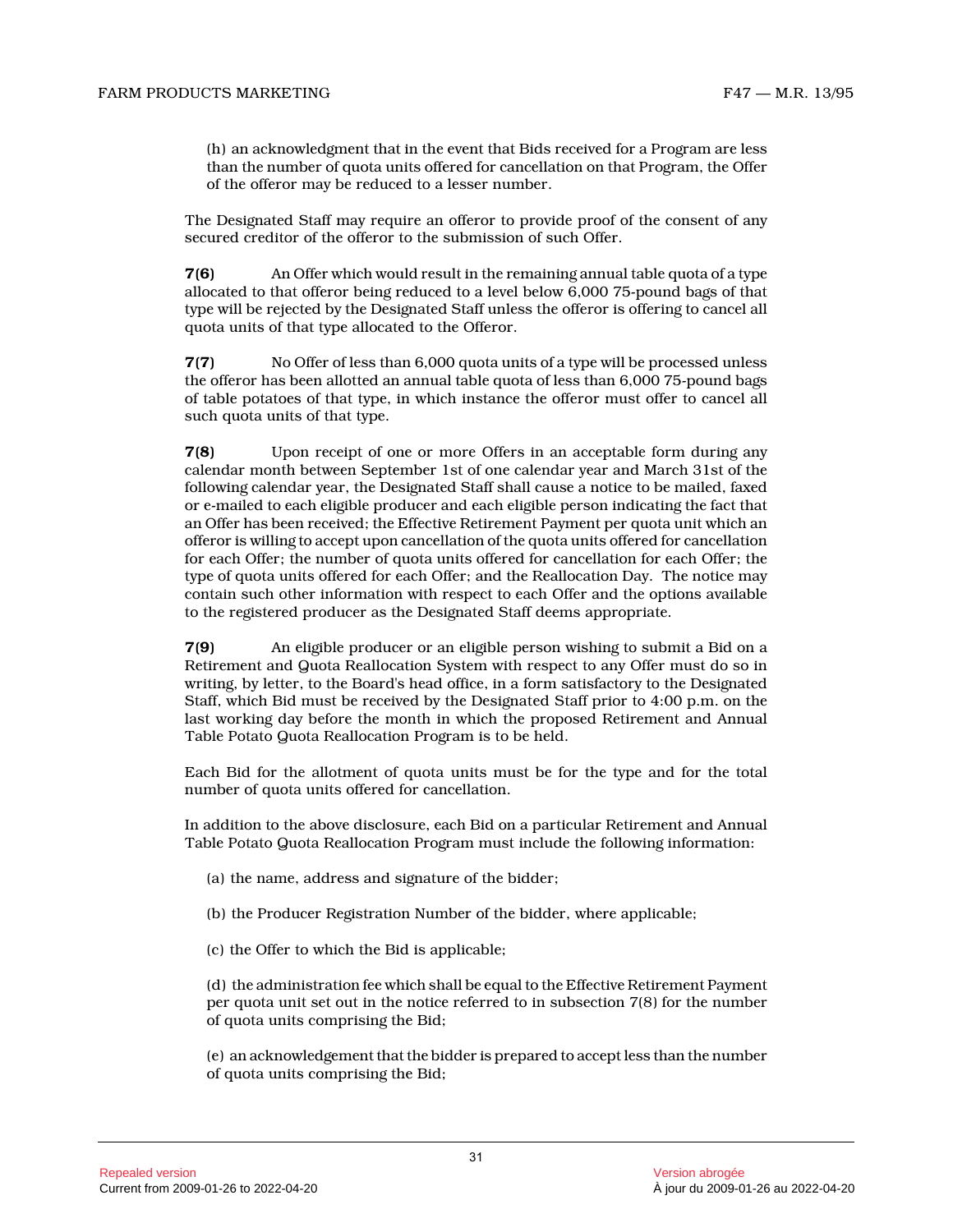(h) an acknowledgment that in the event that Bids received for a Program are less than the number of quota units offered for cancellation on that Program, the Offer of the offeror may be reduced to a lesser number.

The Designated Staff may require an offeror to provide proof of the consent of any secured creditor of the offeror to the submission of such Offer.

**7(6)** An Offer which would result in the remaining annual table quota of a type allocated to that offeror being reduced to a level below 6,000 75-pound bags of that type will be rejected by the Designated Staff unless the offeror is offering to cancel all quota units of that type allocated to the Offeror.

**7(7)** No Offer of less than 6,000 quota units of a type will be processed unless the offeror has been allotted an annual table quota of less than 6,000 75-pound bags of table potatoes of that type, in which instance the offeror must offer to cancel all such quota units of that type.

**7(8)** Upon receipt of one or more Offers in an acceptable form during any calendar month between September 1st of one calendar year and March 31st of the following calendar year, the Designated Staff shall cause a notice to be mailed, faxed or e-mailed to each eligible producer and each eligible person indicating the fact that an Offer has been received; the Effective Retirement Payment per quota unit which an offeror is willing to accept upon cancellation of the quota units offered for cancellation for each Offer; the number of quota units offered for cancellation for each Offer; the type of quota units offered for each Offer; and the Reallocation Day. The notice may contain such other information with respect to each Offer and the options available to the registered producer as the Designated Staff deems appropriate.

**7(9)** An eligible producer or an eligible person wishing to submit a Bid on a Retirement and Quota Reallocation System with respect to any Offer must do so in writing, by letter, to the Board's head office, in a form satisfactory to the Designated Staff, which Bid must be received by the Designated Staff prior to 4:00 p.m. on the last working day before the month in which the proposed Retirement and Annual Table Potato Quota Reallocation Program is to be held.

Each Bid for the allotment of quota units must be for the type and for the total number of quota units offered for cancellation.

In addition to the above disclosure, each Bid on a particular Retirement and Annual Table Potato Quota Reallocation Program must include the following information:

- (a) the name, address and signature of the bidder;
- (b) the Producer Registration Number of the bidder, where applicable;
- (c) the Offer to which the Bid is applicable;

(d) the administration fee which shall be equal to the Effective Retirement Payment per quota unit set out in the notice referred to in subsection 7(8) for the number of quota units comprising the Bid;

(e) an acknowledgement that the bidder is prepared to accept less than the number of quota units comprising the Bid;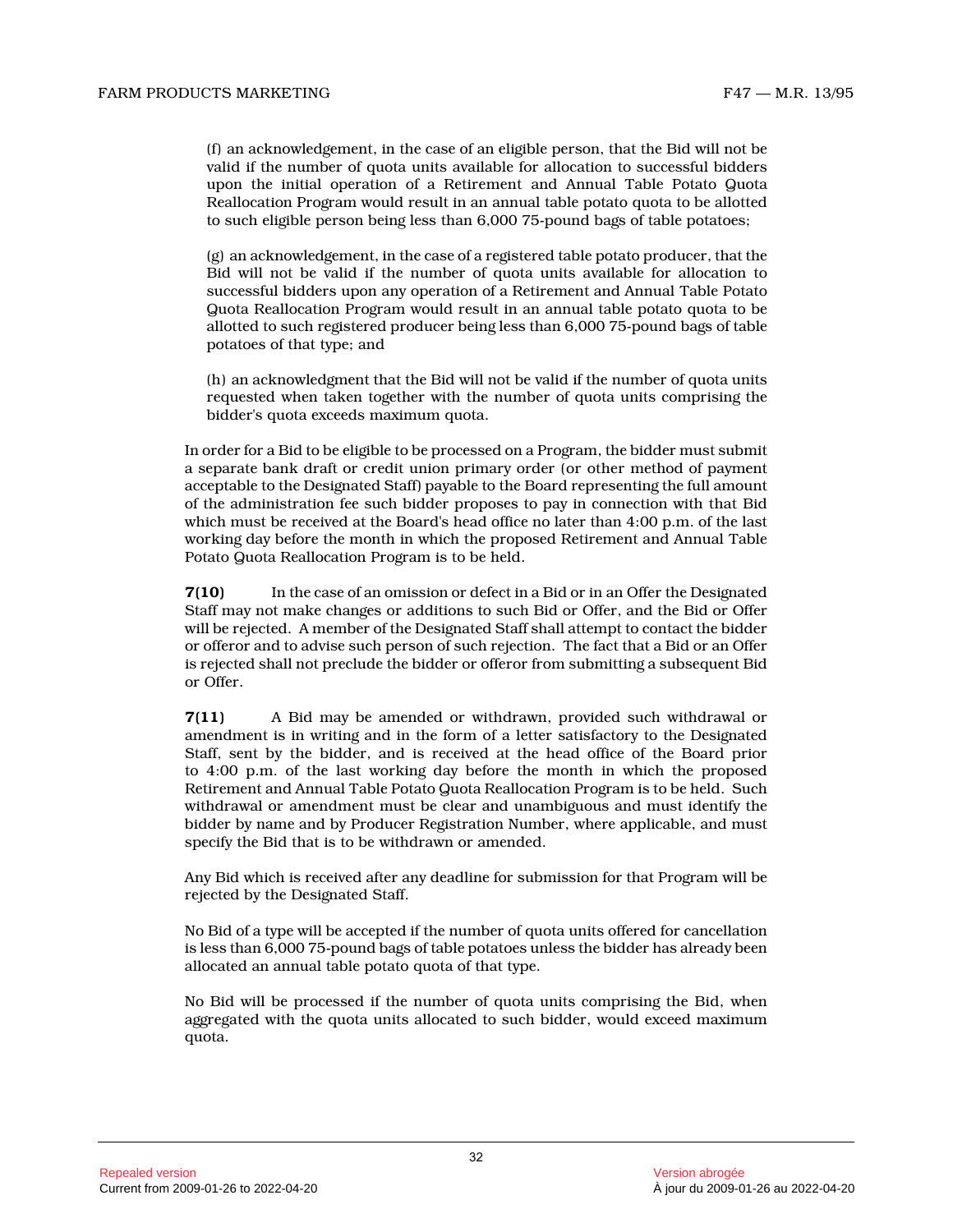(f) an acknowledgement, in the case of an eligible person, that the Bid will not be valid if the number of quota units available for allocation to successful bidders upon the initial operation of a Retirement and Annual Table Potato Quota Reallocation Program would result in an annual table potato quota to be allotted to such eligible person being less than 6,000 75-pound bags of table potatoes;

(g) an acknowledgement, in the case of a registered table potato producer, that the Bid will not be valid if the number of quota units available for allocation to successful bidders upon any operation of a Retirement and Annual Table Potato Quota Reallocation Program would result in an annual table potato quota to be allotted to such registered producer being less than 6,000 75-pound bags of table potatoes of that type; and

(h) an acknowledgment that the Bid will not be valid if the number of quota units requested when taken together with the number of quota units comprising the bidder's quota exceeds maximum quota.

In order for a Bid to be eligible to be processed on a Program, the bidder must submit a separate bank draft or credit union primary order (or other method of payment acceptable to the Designated Staff) payable to the Board representing the full amount of the administration fee such bidder proposes to pay in connection with that Bid which must be received at the Board's head office no later than 4:00 p.m. of the last working day before the month in which the proposed Retirement and Annual Table Potato Quota Reallocation Program is to be held.

**7(10)** In the case of an omission or defect in a Bid or in an Offer the Designated Staff may not make changes or additions to such Bid or Offer, and the Bid or Offer will be rejected. A member of the Designated Staff shall attempt to contact the bidder or offeror and to advise such person of such rejection. The fact that a Bid or an Offer is rejected shall not preclude the bidder or offeror from submitting a subsequent Bid or Offer.

**7(11)** A Bid may be amended or withdrawn, provided such withdrawal or amendment is in writing and in the form of a letter satisfactory to the Designated Staff, sent by the bidder, and is received at the head office of the Board prior to 4:00 p.m. of the last working day before the month in which the proposed Retirement and Annual Table Potato Quota Reallocation Program is to be held. Such withdrawal or amendment must be clear and unambiguous and must identify the bidder by name and by Producer Registration Number, where applicable, and must specify the Bid that is to be withdrawn or amended.

Any Bid which is received after any deadline for submission for that Program will be rejected by the Designated Staff.

No Bid of a type will be accepted if the number of quota units offered for cancellation is less than 6,000 75-pound bags of table potatoes unless the bidder has already been allocated an annual table potato quota of that type.

No Bid will be processed if the number of quota units comprising the Bid, when aggregated with the quota units allocated to such bidder, would exceed maximum quota.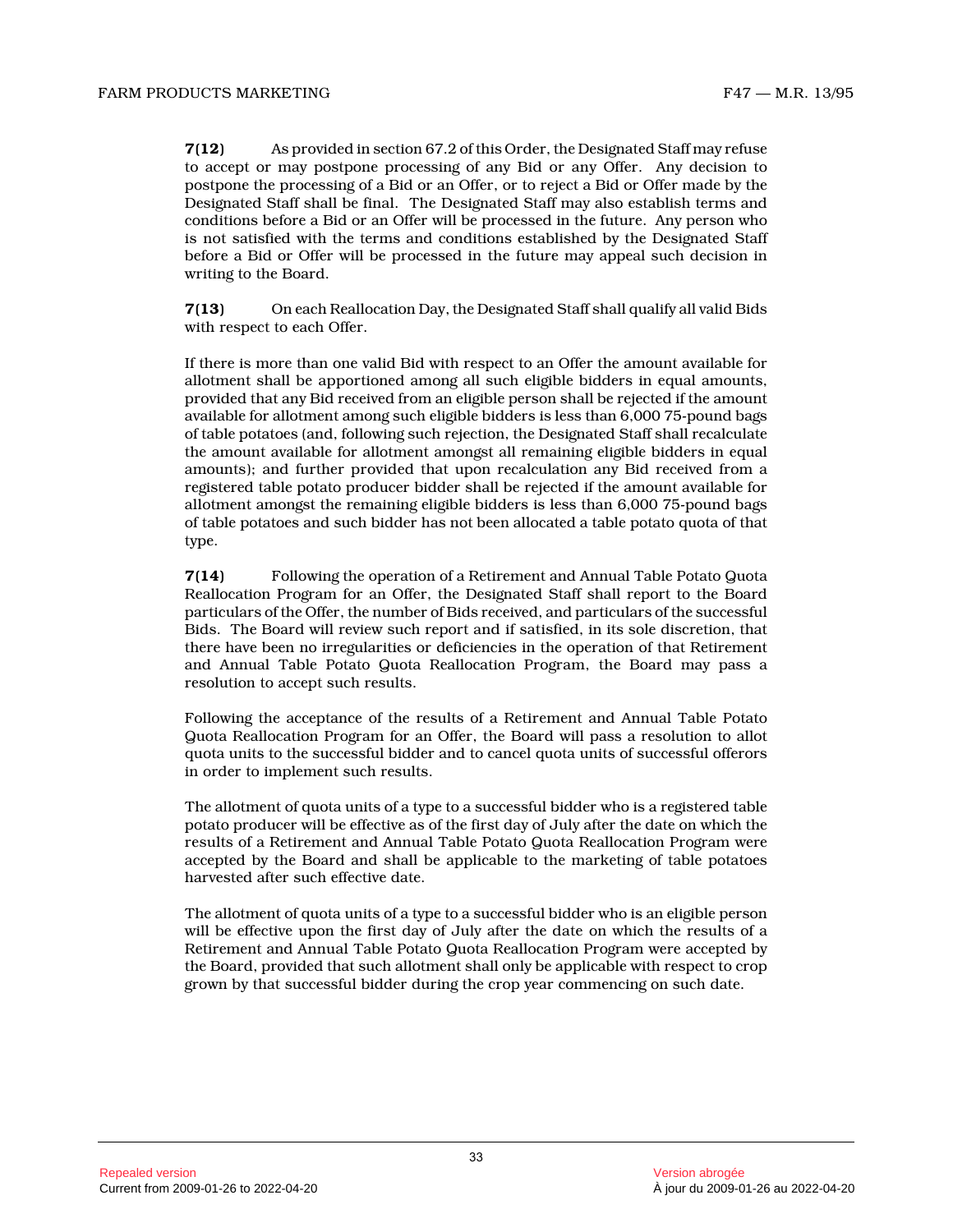**7(12)** As provided in section 67.2 of this Order, the Designated Staff may refuse to accept or may postpone processing of any Bid or any Offer. Any decision to postpone the processing of a Bid or an Offer, or to reject a Bid or Offer made by the Designated Staff shall be final. The Designated Staff may also establish terms and conditions before a Bid or an Offer will be processed in the future. Any person who is not satisfied with the terms and conditions established by the Designated Staff before a Bid or Offer will be processed in the future may appeal such decision in writing to the Board.

**7(13)** On each Reallocation Day, the Designated Staff shall qualify all valid Bids with respect to each Offer.

If there is more than one valid Bid with respect to an Offer the amount available for allotment shall be apportioned among all such eligible bidders in equal amounts, provided that any Bid received from an eligible person shall be rejected if the amount available for allotment among such eligible bidders is less than 6,000 75-pound bags of table potatoes (and, following such rejection, the Designated Staff shall recalculate the amount available for allotment amongst all remaining eligible bidders in equal amounts); and further provided that upon recalculation any Bid received from a registered table potato producer bidder shall be rejected if the amount available for allotment amongst the remaining eligible bidders is less than 6,000 75-pound bags of table potatoes and such bidder has not been allocated a table potato quota of that type.

**7(14)** Following the operation of a Retirement and Annual Table Potato Quota Reallocation Program for an Offer, the Designated Staff shall report to the Board particulars of the Offer, the number of Bids received, and particulars of the successful Bids. The Board will review such report and if satisfied, in its sole discretion, that there have been no irregularities or deficiencies in the operation of that Retirement and Annual Table Potato Quota Reallocation Program, the Board may pass a resolution to accept such results.

Following the acceptance of the results of a Retirement and Annual Table Potato Quota Reallocation Program for an Offer, the Board will pass a resolution to allot quota units to the successful bidder and to cancel quota units of successful offerors in order to implement such results.

The allotment of quota units of a type to a successful bidder who is a registered table potato producer will be effective as of the first day of July after the date on which the results of a Retirement and Annual Table Potato Quota Reallocation Program were accepted by the Board and shall be applicable to the marketing of table potatoes harvested after such effective date.

The allotment of quota units of a type to a successful bidder who is an eligible person will be effective upon the first day of July after the date on which the results of a Retirement and Annual Table Potato Quota Reallocation Program were accepted by the Board, provided that such allotment shall only be applicable with respect to crop grown by that successful bidder during the crop year commencing on such date.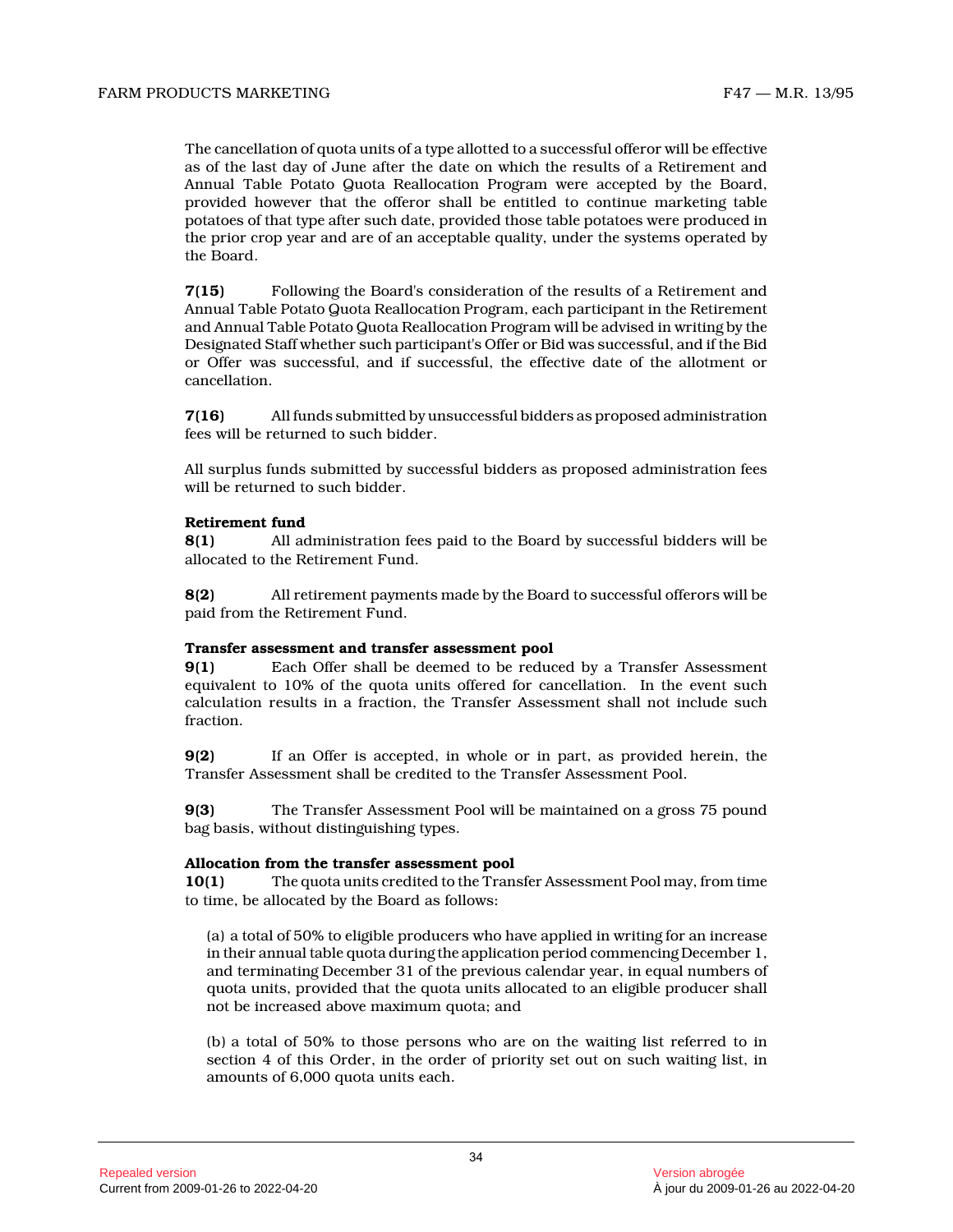The cancellation of quota units of a type allotted to a successful offeror will be effective as of the last day of June after the date on which the results of a Retirement and Annual Table Potato Quota Reallocation Program were accepted by the Board, provided however that the offeror shall be entitled to continue marketing table potatoes of that type after such date, provided those table potatoes were produced in the prior crop year and are of an acceptable quality, under the systems operated by the Board.

**7(15)** Following the Board's consideration of the results of a Retirement and Annual Table Potato Quota Reallocation Program, each participant in the Retirement and Annual Table Potato Quota Reallocation Program will be advised in writing by the Designated Staff whether such participant's Offer or Bid was successful, and if the Bid or Offer was successful, and if successful, the effective date of the allotment or cancellation.

**7(16)** All funds submitted by unsuccessful bidders as proposed administration fees will be returned to such bidder.

All surplus funds submitted by successful bidders as proposed administration fees will be returned to such bidder.

# **Retirement fund**

**8(1)** All administration fees paid to the Board by successful bidders will be allocated to the Retirement Fund.

**8(2)** All retirement payments made by the Board to successful offerors will be paid from the Retirement Fund.

#### **Transfer assessment and transfer assessment pool**

**9(1)** Each Offer shall be deemed to be reduced by a Transfer Assessment equivalent to 10% of the quota units offered for cancellation. In the event such calculation results in a fraction, the Transfer Assessment shall not include such fraction.

**9(2)** If an Offer is accepted, in whole or in part, as provided herein, the Transfer Assessment shall be credited to the Transfer Assessment Pool.

**9(3)** The Transfer Assessment Pool will be maintained on a gross 75 pound bag basis, without distinguishing types.

# **Allocation from the transfer assessment pool**

**10(1)** The quota units credited to the Transfer Assessment Pool may, from time to time, be allocated by the Board as follows:

(a) a total of 50% to eligible producers who have applied in writing for an increase in their annual table quota during the application period commencing December 1, and terminating December 31 of the previous calendar year, in equal numbers of quota units, provided that the quota units allocated to an eligible producer shall not be increased above maximum quota; and

(b) a total of 50% to those persons who are on the waiting list referred to in section 4 of this Order, in the order of priority set out on such waiting list, in amounts of 6,000 quota units each.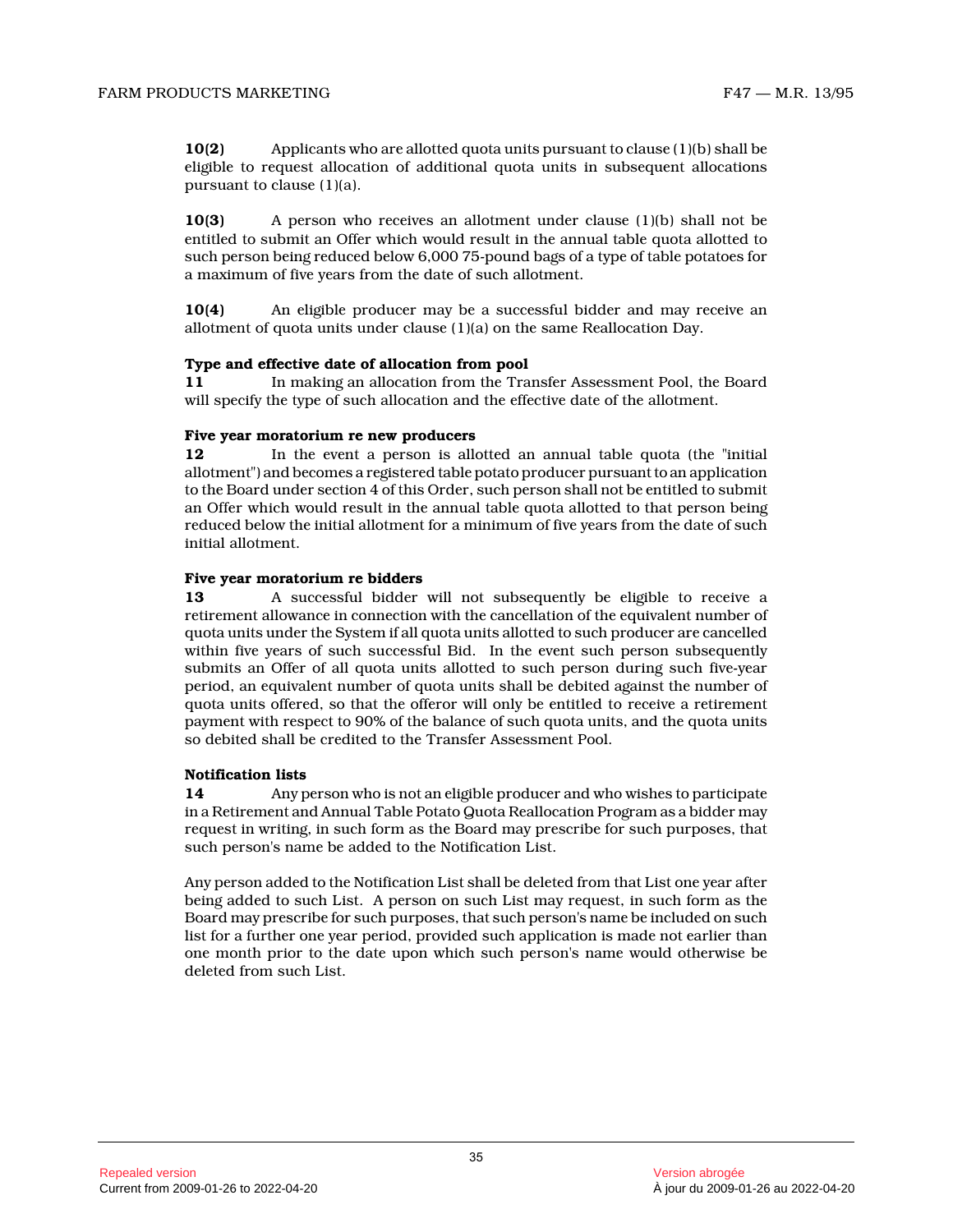**10(2)** Applicants who are allotted quota units pursuant to clause (1)(b) shall be eligible to request allocation of additional quota units in subsequent allocations pursuant to clause (1)(a).

**10(3)** A person who receives an allotment under clause (1)(b) shall not be entitled to submit an Offer which would result in the annual table quota allotted to such person being reduced below 6,000 75-pound bags of a type of table potatoes for a maximum of five years from the date of such allotment.

**10(4)** An eligible producer may be a successful bidder and may receive an allotment of quota units under clause (1)(a) on the same Reallocation Day.

#### **Type and effective date of allocation from pool**

**11** In making an allocation from the Transfer Assessment Pool, the Board will specify the type of such allocation and the effective date of the allotment.

# **Five year moratorium re new producers**

**12** In the event a person is allotted an annual table quota (the "initial allotment") and becomes a registered table potato producer pursuant to an application to the Board under section 4 of this Order, such person shall not be entitled to submit an Offer which would result in the annual table quota allotted to that person being reduced below the initial allotment for a minimum of five years from the date of such initial allotment.

#### **Five year moratorium re bidders**

**13** A successful bidder will not subsequently be eligible to receive a retirement allowance in connection with the cancellation of the equivalent number of quota units under the System if all quota units allotted to such producer are cancelled within five years of such successful Bid. In the event such person subsequently submits an Offer of all quota units allotted to such person during such five-year period, an equivalent number of quota units shall be debited against the number of quota units offered, so that the offeror will only be entitled to receive a retirement payment with respect to 90% of the balance of such quota units, and the quota units so debited shall be credited to the Transfer Assessment Pool.

#### **Notification lists**

**14** Any person who is not an eligible producer and who wishes to participate in a Retirement and Annual Table Potato Quota Reallocation Program as a bidder may request in writing, in such form as the Board may prescribe for such purposes, that such person's name be added to the Notification List.

Any person added to the Notification List shall be deleted from that List one year after being added to such List. A person on such List may request, in such form as the Board may prescribe for such purposes, that such person's name be included on such list for a further one year period, provided such application is made not earlier than one month prior to the date upon which such person's name would otherwise be deleted from such List.